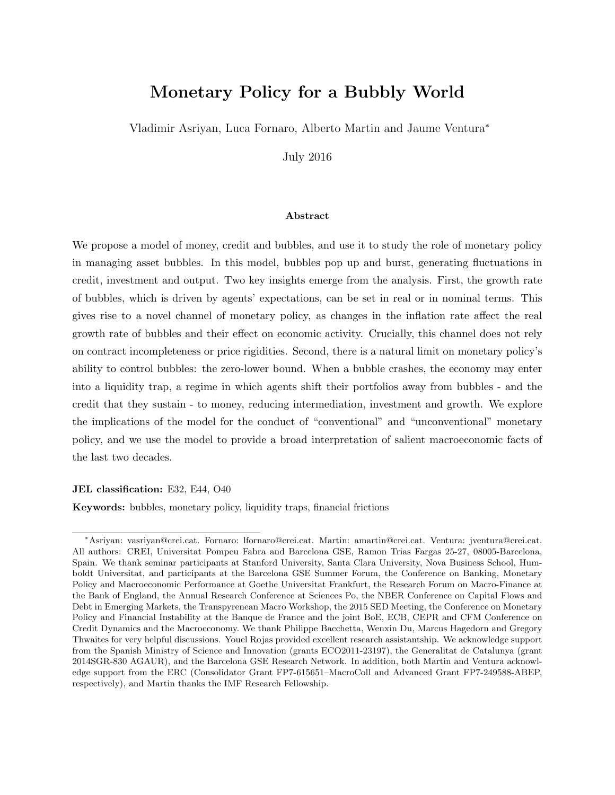# Monetary Policy for a Bubbly World

Vladimir Asriyan, Luca Fornaro, Alberto Martin and Jaume Ventura<sup>∗</sup>

July 2016

#### Abstract

We propose a model of money, credit and bubbles, and use it to study the role of monetary policy in managing asset bubbles. In this model, bubbles pop up and burst, generating fluctuations in credit, investment and output. Two key insights emerge from the analysis. First, the growth rate of bubbles, which is driven by agents' expectations, can be set in real or in nominal terms. This gives rise to a novel channel of monetary policy, as changes in the inflation rate affect the real growth rate of bubbles and their effect on economic activity. Crucially, this channel does not rely on contract incompleteness or price rigidities. Second, there is a natural limit on monetary policy's ability to control bubbles: the zero-lower bound. When a bubble crashes, the economy may enter into a liquidity trap, a regime in which agents shift their portfolios away from bubbles - and the credit that they sustain - to money, reducing intermediation, investment and growth. We explore the implications of the model for the conduct of "conventional" and "unconventional" monetary policy, and we use the model to provide a broad interpretation of salient macroeconomic facts of the last two decades.

#### JEL classification: E32, E44, O40

Keywords: bubbles, monetary policy, liquidity traps, financial frictions

<sup>∗</sup>Asriyan: vasriyan@crei.cat. Fornaro: lfornaro@crei.cat. Martin: amartin@crei.cat. Ventura: jventura@crei.cat. All authors: CREI, Universitat Pompeu Fabra and Barcelona GSE, Ramon Trias Fargas 25-27, 08005-Barcelona, Spain. We thank seminar participants at Stanford University, Santa Clara University, Nova Business School, Humboldt Universitat, and participants at the Barcelona GSE Summer Forum, the Conference on Banking, Monetary Policy and Macroeconomic Performance at Goethe Universitat Frankfurt, the Research Forum on Macro-Finance at the Bank of England, the Annual Research Conference at Sciences Po, the NBER Conference on Capital Flows and Debt in Emerging Markets, the Transpyrenean Macro Workshop, the 2015 SED Meeting, the Conference on Monetary Policy and Financial Instability at the Banque de France and the joint BoE, ECB, CEPR and CFM Conference on Credit Dynamics and the Macroeconomy. We thank Philippe Bacchetta, Wenxin Du, Marcus Hagedorn and Gregory Thwaites for very helpful discussions. Youel Rojas provided excellent research assistantship. We acknowledge support from the Spanish Ministry of Science and Innovation (grants ECO2011-23197), the Generalitat de Catalunya (grant 2014SGR-830 AGAUR), and the Barcelona GSE Research Network. In addition, both Martin and Ventura acknowledge support from the ERC (Consolidator Grant FP7-615651–MacroColl and Advanced Grant FP7-249588-ABEP, respectively), and Martin thanks the IMF Research Fellowship.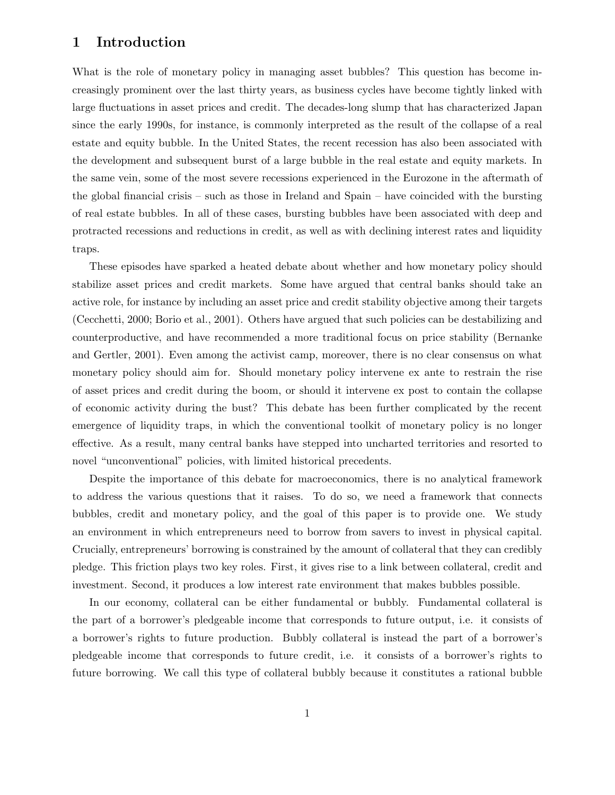### 1 Introduction

What is the role of monetary policy in managing asset bubbles? This question has become increasingly prominent over the last thirty years, as business cycles have become tightly linked with large fluctuations in asset prices and credit. The decades-long slump that has characterized Japan since the early 1990s, for instance, is commonly interpreted as the result of the collapse of a real estate and equity bubble. In the United States, the recent recession has also been associated with the development and subsequent burst of a large bubble in the real estate and equity markets. In the same vein, some of the most severe recessions experienced in the Eurozone in the aftermath of the global financial crisis – such as those in Ireland and Spain – have coincided with the bursting of real estate bubbles. In all of these cases, bursting bubbles have been associated with deep and protracted recessions and reductions in credit, as well as with declining interest rates and liquidity traps.

These episodes have sparked a heated debate about whether and how monetary policy should stabilize asset prices and credit markets. Some have argued that central banks should take an active role, for instance by including an asset price and credit stability objective among their targets (Cecchetti, 2000; Borio et al., 2001). Others have argued that such policies can be destabilizing and counterproductive, and have recommended a more traditional focus on price stability (Bernanke and Gertler, 2001). Even among the activist camp, moreover, there is no clear consensus on what monetary policy should aim for. Should monetary policy intervene ex ante to restrain the rise of asset prices and credit during the boom, or should it intervene ex post to contain the collapse of economic activity during the bust? This debate has been further complicated by the recent emergence of liquidity traps, in which the conventional toolkit of monetary policy is no longer effective. As a result, many central banks have stepped into uncharted territories and resorted to novel "unconventional" policies, with limited historical precedents.

Despite the importance of this debate for macroeconomics, there is no analytical framework to address the various questions that it raises. To do so, we need a framework that connects bubbles, credit and monetary policy, and the goal of this paper is to provide one. We study an environment in which entrepreneurs need to borrow from savers to invest in physical capital. Crucially, entrepreneurs' borrowing is constrained by the amount of collateral that they can credibly pledge. This friction plays two key roles. First, it gives rise to a link between collateral, credit and investment. Second, it produces a low interest rate environment that makes bubbles possible.

In our economy, collateral can be either fundamental or bubbly. Fundamental collateral is the part of a borrower's pledgeable income that corresponds to future output, i.e. it consists of a borrower's rights to future production. Bubbly collateral is instead the part of a borrower's pledgeable income that corresponds to future credit, i.e. it consists of a borrower's rights to future borrowing. We call this type of collateral bubbly because it constitutes a rational bubble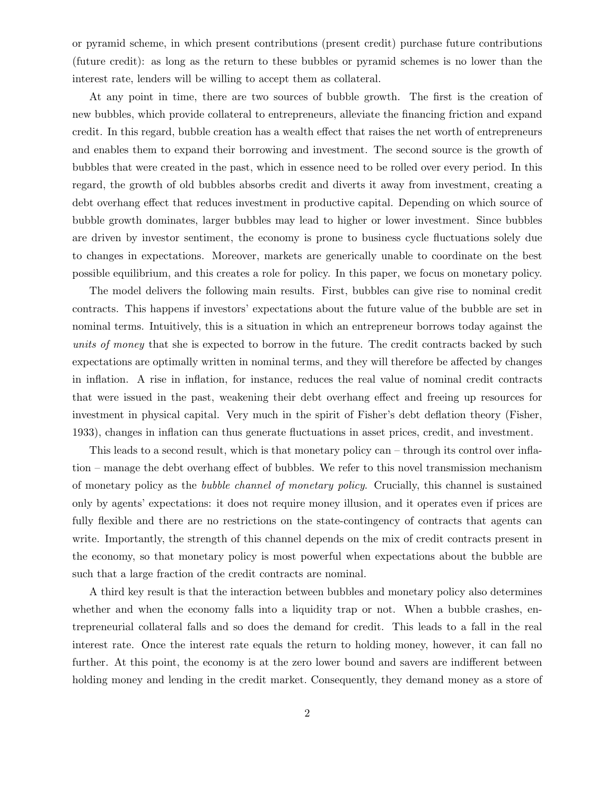or pyramid scheme, in which present contributions (present credit) purchase future contributions (future credit): as long as the return to these bubbles or pyramid schemes is no lower than the interest rate, lenders will be willing to accept them as collateral.

At any point in time, there are two sources of bubble growth. The first is the creation of new bubbles, which provide collateral to entrepreneurs, alleviate the financing friction and expand credit. In this regard, bubble creation has a wealth effect that raises the net worth of entrepreneurs and enables them to expand their borrowing and investment. The second source is the growth of bubbles that were created in the past, which in essence need to be rolled over every period. In this regard, the growth of old bubbles absorbs credit and diverts it away from investment, creating a debt overhang effect that reduces investment in productive capital. Depending on which source of bubble growth dominates, larger bubbles may lead to higher or lower investment. Since bubbles are driven by investor sentiment, the economy is prone to business cycle fluctuations solely due to changes in expectations. Moreover, markets are generically unable to coordinate on the best possible equilibrium, and this creates a role for policy. In this paper, we focus on monetary policy.

The model delivers the following main results. First, bubbles can give rise to nominal credit contracts. This happens if investors' expectations about the future value of the bubble are set in nominal terms. Intuitively, this is a situation in which an entrepreneur borrows today against the units of money that she is expected to borrow in the future. The credit contracts backed by such expectations are optimally written in nominal terms, and they will therefore be affected by changes in inflation. A rise in inflation, for instance, reduces the real value of nominal credit contracts that were issued in the past, weakening their debt overhang effect and freeing up resources for investment in physical capital. Very much in the spirit of Fisher's debt deflation theory (Fisher, 1933), changes in inflation can thus generate fluctuations in asset prices, credit, and investment.

This leads to a second result, which is that monetary policy can – through its control over inflation – manage the debt overhang effect of bubbles. We refer to this novel transmission mechanism of monetary policy as the bubble channel of monetary policy. Crucially, this channel is sustained only by agents' expectations: it does not require money illusion, and it operates even if prices are fully flexible and there are no restrictions on the state-contingency of contracts that agents can write. Importantly, the strength of this channel depends on the mix of credit contracts present in the economy, so that monetary policy is most powerful when expectations about the bubble are such that a large fraction of the credit contracts are nominal.

A third key result is that the interaction between bubbles and monetary policy also determines whether and when the economy falls into a liquidity trap or not. When a bubble crashes, entrepreneurial collateral falls and so does the demand for credit. This leads to a fall in the real interest rate. Once the interest rate equals the return to holding money, however, it can fall no further. At this point, the economy is at the zero lower bound and savers are indifferent between holding money and lending in the credit market. Consequently, they demand money as a store of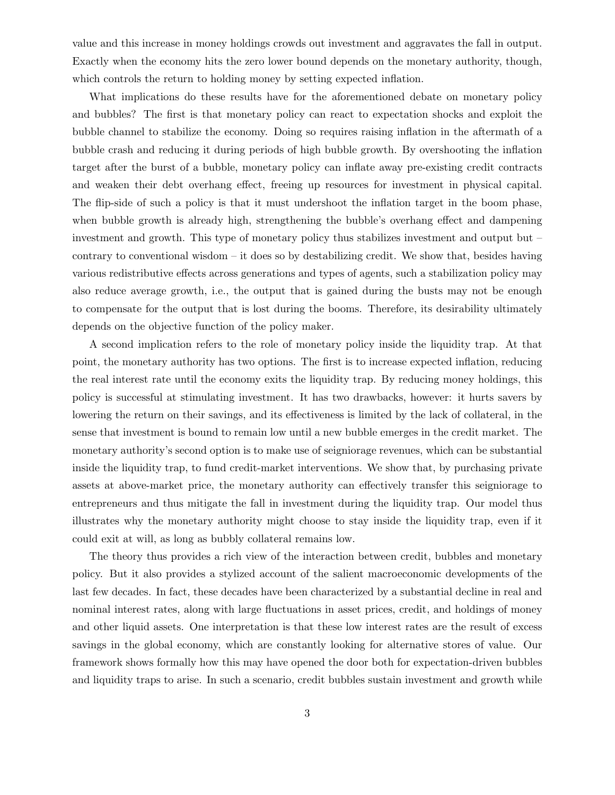value and this increase in money holdings crowds out investment and aggravates the fall in output. Exactly when the economy hits the zero lower bound depends on the monetary authority, though, which controls the return to holding money by setting expected inflation.

What implications do these results have for the aforementioned debate on monetary policy and bubbles? The first is that monetary policy can react to expectation shocks and exploit the bubble channel to stabilize the economy. Doing so requires raising inflation in the aftermath of a bubble crash and reducing it during periods of high bubble growth. By overshooting the inflation target after the burst of a bubble, monetary policy can inflate away pre-existing credit contracts and weaken their debt overhang effect, freeing up resources for investment in physical capital. The flip-side of such a policy is that it must undershoot the inflation target in the boom phase, when bubble growth is already high, strengthening the bubble's overhang effect and dampening investment and growth. This type of monetary policy thus stabilizes investment and output but – contrary to conventional wisdom  $-$  it does so by destabilizing credit. We show that, besides having various redistributive effects across generations and types of agents, such a stabilization policy may also reduce average growth, i.e., the output that is gained during the busts may not be enough to compensate for the output that is lost during the booms. Therefore, its desirability ultimately depends on the objective function of the policy maker.

A second implication refers to the role of monetary policy inside the liquidity trap. At that point, the monetary authority has two options. The first is to increase expected inflation, reducing the real interest rate until the economy exits the liquidity trap. By reducing money holdings, this policy is successful at stimulating investment. It has two drawbacks, however: it hurts savers by lowering the return on their savings, and its effectiveness is limited by the lack of collateral, in the sense that investment is bound to remain low until a new bubble emerges in the credit market. The monetary authority's second option is to make use of seigniorage revenues, which can be substantial inside the liquidity trap, to fund credit-market interventions. We show that, by purchasing private assets at above-market price, the monetary authority can effectively transfer this seigniorage to entrepreneurs and thus mitigate the fall in investment during the liquidity trap. Our model thus illustrates why the monetary authority might choose to stay inside the liquidity trap, even if it could exit at will, as long as bubbly collateral remains low.

The theory thus provides a rich view of the interaction between credit, bubbles and monetary policy. But it also provides a stylized account of the salient macroeconomic developments of the last few decades. In fact, these decades have been characterized by a substantial decline in real and nominal interest rates, along with large fluctuations in asset prices, credit, and holdings of money and other liquid assets. One interpretation is that these low interest rates are the result of excess savings in the global economy, which are constantly looking for alternative stores of value. Our framework shows formally how this may have opened the door both for expectation-driven bubbles and liquidity traps to arise. In such a scenario, credit bubbles sustain investment and growth while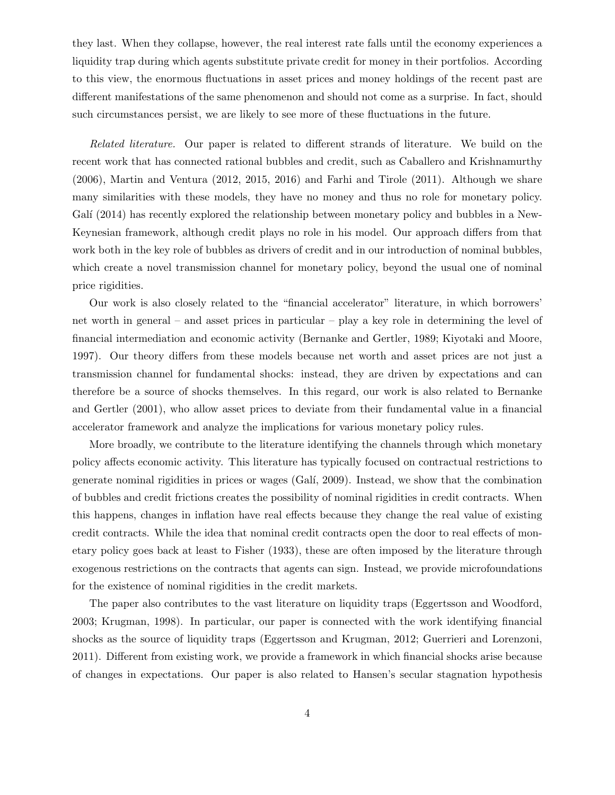they last. When they collapse, however, the real interest rate falls until the economy experiences a liquidity trap during which agents substitute private credit for money in their portfolios. According to this view, the enormous fluctuations in asset prices and money holdings of the recent past are different manifestations of the same phenomenon and should not come as a surprise. In fact, should such circumstances persist, we are likely to see more of these fluctuations in the future.

Related literature. Our paper is related to different strands of literature. We build on the recent work that has connected rational bubbles and credit, such as Caballero and Krishnamurthy (2006), Martin and Ventura (2012, 2015, 2016) and Farhi and Tirole (2011). Although we share many similarities with these models, they have no money and thus no role for monetary policy. Galí  $(2014)$  has recently explored the relationship between monetary policy and bubbles in a New-Keynesian framework, although credit plays no role in his model. Our approach differs from that work both in the key role of bubbles as drivers of credit and in our introduction of nominal bubbles, which create a novel transmission channel for monetary policy, beyond the usual one of nominal price rigidities.

Our work is also closely related to the "financial accelerator" literature, in which borrowers' net worth in general – and asset prices in particular – play a key role in determining the level of financial intermediation and economic activity (Bernanke and Gertler, 1989; Kiyotaki and Moore, 1997). Our theory differs from these models because net worth and asset prices are not just a transmission channel for fundamental shocks: instead, they are driven by expectations and can therefore be a source of shocks themselves. In this regard, our work is also related to Bernanke and Gertler (2001), who allow asset prices to deviate from their fundamental value in a financial accelerator framework and analyze the implications for various monetary policy rules.

More broadly, we contribute to the literature identifying the channels through which monetary policy affects economic activity. This literature has typically focused on contractual restrictions to generate nominal rigidities in prices or wages (Gal´ı, 2009). Instead, we show that the combination of bubbles and credit frictions creates the possibility of nominal rigidities in credit contracts. When this happens, changes in inflation have real effects because they change the real value of existing credit contracts. While the idea that nominal credit contracts open the door to real effects of monetary policy goes back at least to Fisher (1933), these are often imposed by the literature through exogenous restrictions on the contracts that agents can sign. Instead, we provide microfoundations for the existence of nominal rigidities in the credit markets.

The paper also contributes to the vast literature on liquidity traps (Eggertsson and Woodford, 2003; Krugman, 1998). In particular, our paper is connected with the work identifying financial shocks as the source of liquidity traps (Eggertsson and Krugman, 2012; Guerrieri and Lorenzoni, 2011). Different from existing work, we provide a framework in which financial shocks arise because of changes in expectations. Our paper is also related to Hansen's secular stagnation hypothesis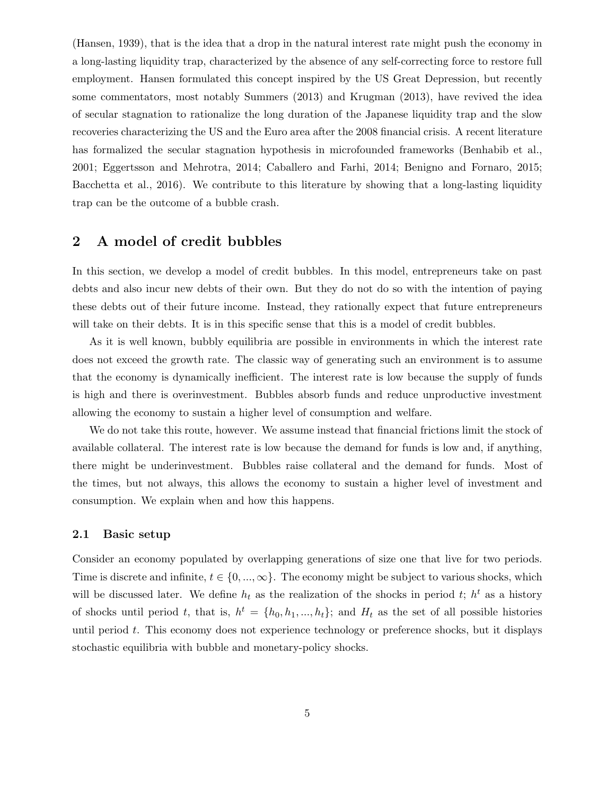(Hansen, 1939), that is the idea that a drop in the natural interest rate might push the economy in a long-lasting liquidity trap, characterized by the absence of any self-correcting force to restore full employment. Hansen formulated this concept inspired by the US Great Depression, but recently some commentators, most notably Summers (2013) and Krugman (2013), have revived the idea of secular stagnation to rationalize the long duration of the Japanese liquidity trap and the slow recoveries characterizing the US and the Euro area after the 2008 financial crisis. A recent literature has formalized the secular stagnation hypothesis in microfounded frameworks (Benhabib et al., 2001; Eggertsson and Mehrotra, 2014; Caballero and Farhi, 2014; Benigno and Fornaro, 2015; Bacchetta et al., 2016). We contribute to this literature by showing that a long-lasting liquidity trap can be the outcome of a bubble crash.

### 2 A model of credit bubbles

In this section, we develop a model of credit bubbles. In this model, entrepreneurs take on past debts and also incur new debts of their own. But they do not do so with the intention of paying these debts out of their future income. Instead, they rationally expect that future entrepreneurs will take on their debts. It is in this specific sense that this is a model of credit bubbles.

As it is well known, bubbly equilibria are possible in environments in which the interest rate does not exceed the growth rate. The classic way of generating such an environment is to assume that the economy is dynamically inefficient. The interest rate is low because the supply of funds is high and there is overinvestment. Bubbles absorb funds and reduce unproductive investment allowing the economy to sustain a higher level of consumption and welfare.

We do not take this route, however. We assume instead that financial frictions limit the stock of available collateral. The interest rate is low because the demand for funds is low and, if anything, there might be underinvestment. Bubbles raise collateral and the demand for funds. Most of the times, but not always, this allows the economy to sustain a higher level of investment and consumption. We explain when and how this happens.

#### 2.1 Basic setup

Consider an economy populated by overlapping generations of size one that live for two periods. Time is discrete and infinite,  $t \in \{0, ..., \infty\}$ . The economy might be subject to various shocks, which will be discussed later. We define  $h_t$  as the realization of the shocks in period t;  $h^t$  as a history of shocks until period t, that is,  $h^t = \{h_0, h_1, ..., h_t\}$ ; and  $H_t$  as the set of all possible histories until period  $t$ . This economy does not experience technology or preference shocks, but it displays stochastic equilibria with bubble and monetary-policy shocks.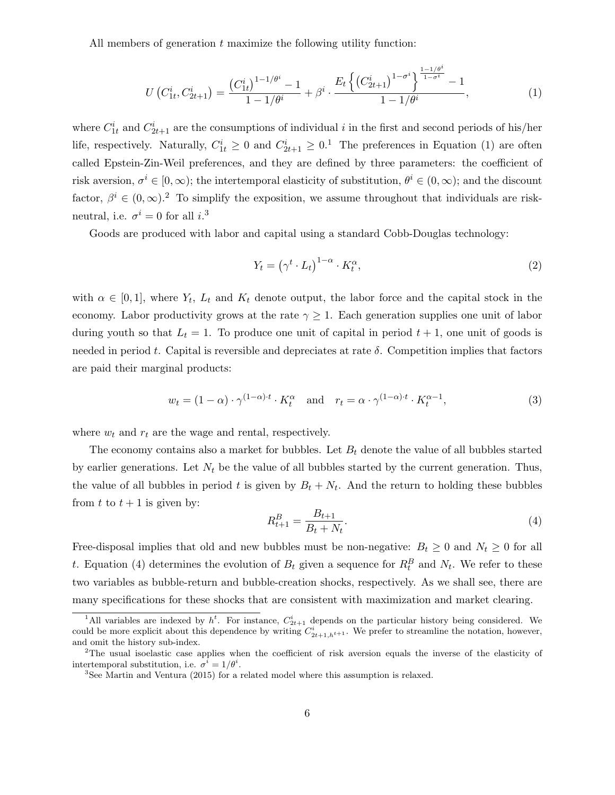All members of generation  $t$  maximize the following utility function:

$$
U\left(C_{1t}^{i}, C_{2t+1}^{i}\right) = \frac{\left(C_{1t}^{i}\right)^{1-1/\theta^{i}} - 1}{1 - 1/\theta^{i}} + \beta^{i} \cdot \frac{E_{t}\left\{\left(C_{2t+1}^{i}\right)^{1-\sigma^{i}}\right\}^{\frac{1-1/\theta^{i}}{1-\sigma^{i}}} - 1}{1 - 1/\theta^{i}},
$$
\n(1)

where  $C_{1t}^{i}$  and  $C_{2t+1}^{i}$  are the consumptions of individual i in the first and second periods of his/her life, respectively. Naturally,  $C_{1t}^i \geq 0$  and  $C_{2t+1}^i \geq 0$ .<sup>1</sup> The preferences in Equation (1) are often called Epstein-Zin-Weil preferences, and they are defined by three parameters: the coefficient of risk aversion,  $\sigma^i \in [0,\infty)$ ; the intertemporal elasticity of substitution,  $\theta^i \in (0,\infty)$ ; and the discount factor,  $\beta^i \in (0,\infty)$ .<sup>2</sup> To simplify the exposition, we assume throughout that individuals are riskneutral, i.e.  $\sigma^i = 0$  for all  $i$ <sup>3</sup>

Goods are produced with labor and capital using a standard Cobb-Douglas technology:

$$
Y_t = \left(\gamma^t \cdot L_t\right)^{1-\alpha} \cdot K_t^{\alpha},\tag{2}
$$

with  $\alpha \in [0,1]$ , where  $Y_t$ ,  $L_t$  and  $K_t$  denote output, the labor force and the capital stock in the economy. Labor productivity grows at the rate  $\gamma \geq 1$ . Each generation supplies one unit of labor during youth so that  $L_t = 1$ . To produce one unit of capital in period  $t + 1$ , one unit of goods is needed in period t. Capital is reversible and depreciates at rate  $\delta$ . Competition implies that factors are paid their marginal products:

$$
w_t = (1 - \alpha) \cdot \gamma^{(1 - \alpha)t} \cdot K_t^{\alpha} \quad \text{and} \quad r_t = \alpha \cdot \gamma^{(1 - \alpha)t} \cdot K_t^{\alpha - 1}, \tag{3}
$$

where  $w_t$  and  $r_t$  are the wage and rental, respectively.

The economy contains also a market for bubbles. Let  $B_t$  denote the value of all bubbles started by earlier generations. Let  $N_t$  be the value of all bubbles started by the current generation. Thus, the value of all bubbles in period t is given by  $B_t + N_t$ . And the return to holding these bubbles from t to  $t + 1$  is given by:

$$
R_{t+1}^B = \frac{B_{t+1}}{B_t + N_t}.\tag{4}
$$

Free-disposal implies that old and new bubbles must be non-negative:  $B_t \geq 0$  and  $N_t \geq 0$  for all t. Equation (4) determines the evolution of  $B_t$  given a sequence for  $R_t^B$  and  $N_t$ . We refer to these two variables as bubble-return and bubble-creation shocks, respectively. As we shall see, there are many specifications for these shocks that are consistent with maximization and market clearing.

<sup>&</sup>lt;sup>1</sup>All variables are indexed by  $h^t$ . For instance,  $C_{2t+1}^i$  depends on the particular history being considered. We could be more explicit about this dependence by writing  $C_{2t+1,h^{t+1}}^i$ . We prefer to streamline the notation, however, and omit the history sub-index.

<sup>&</sup>lt;sup>2</sup>The usual isoelastic case applies when the coefficient of risk aversion equals the inverse of the elasticity of intertemporal substitution, i.e.  $\sigma^i = 1/\theta^i$ .

<sup>3</sup>See Martin and Ventura (2015) for a related model where this assumption is relaxed.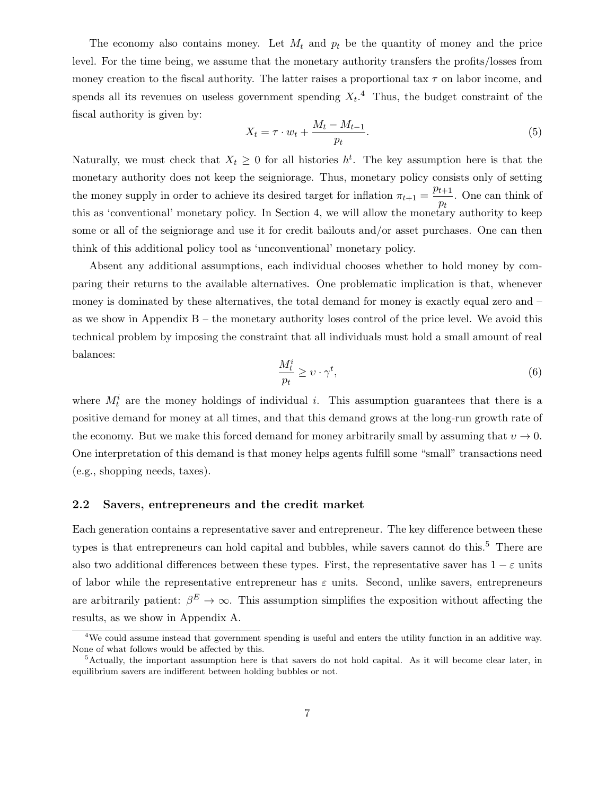The economy also contains money. Let  $M_t$  and  $p_t$  be the quantity of money and the price level. For the time being, we assume that the monetary authority transfers the profits/losses from money creation to the fiscal authority. The latter raises a proportional tax  $\tau$  on labor income, and spends all its revenues on useless government spending  $X_t$ .<sup>4</sup> Thus, the budget constraint of the fiscal authority is given by:

$$
X_t = \tau \cdot w_t + \frac{M_t - M_{t-1}}{p_t}.\tag{5}
$$

Naturally, we must check that  $X_t \geq 0$  for all histories  $h^t$ . The key assumption here is that the monetary authority does not keep the seigniorage. Thus, monetary policy consists only of setting the money supply in order to achieve its desired target for inflation  $\pi_{t+1} = \frac{p_{t+1}}{n}$  $\frac{t+1}{p_t}$ . One can think of this as 'conventional' monetary policy. In Section 4, we will allow the monetary authority to keep some or all of the seigniorage and use it for credit bailouts and/or asset purchases. One can then think of this additional policy tool as 'unconventional' monetary policy.

Absent any additional assumptions, each individual chooses whether to hold money by comparing their returns to the available alternatives. One problematic implication is that, whenever money is dominated by these alternatives, the total demand for money is exactly equal zero and – as we show in Appendix  $B -$  the monetary authority loses control of the price level. We avoid this technical problem by imposing the constraint that all individuals must hold a small amount of real balances:

$$
\frac{M_t^i}{p_t} \ge \upsilon \cdot \gamma^t,\tag{6}
$$

where  $M_t^i$  are the money holdings of individual *i*. This assumption guarantees that there is a positive demand for money at all times, and that this demand grows at the long-run growth rate of the economy. But we make this forced demand for money arbitrarily small by assuming that  $v \to 0$ . One interpretation of this demand is that money helps agents fulfill some "small" transactions need (e.g., shopping needs, taxes).

#### 2.2 Savers, entrepreneurs and the credit market

Each generation contains a representative saver and entrepreneur. The key difference between these types is that entrepreneurs can hold capital and bubbles, while savers cannot do this.<sup>5</sup> There are also two additional differences between these types. First, the representative saver has  $1 - \varepsilon$  units of labor while the representative entrepreneur has  $\varepsilon$  units. Second, unlike savers, entrepreneurs are arbitrarily patient:  $\beta^E \to \infty$ . This assumption simplifies the exposition without affecting the results, as we show in Appendix A.

<sup>&</sup>lt;sup>4</sup>We could assume instead that government spending is useful and enters the utility function in an additive way. None of what follows would be affected by this.

<sup>5</sup>Actually, the important assumption here is that savers do not hold capital. As it will become clear later, in equilibrium savers are indifferent between holding bubbles or not.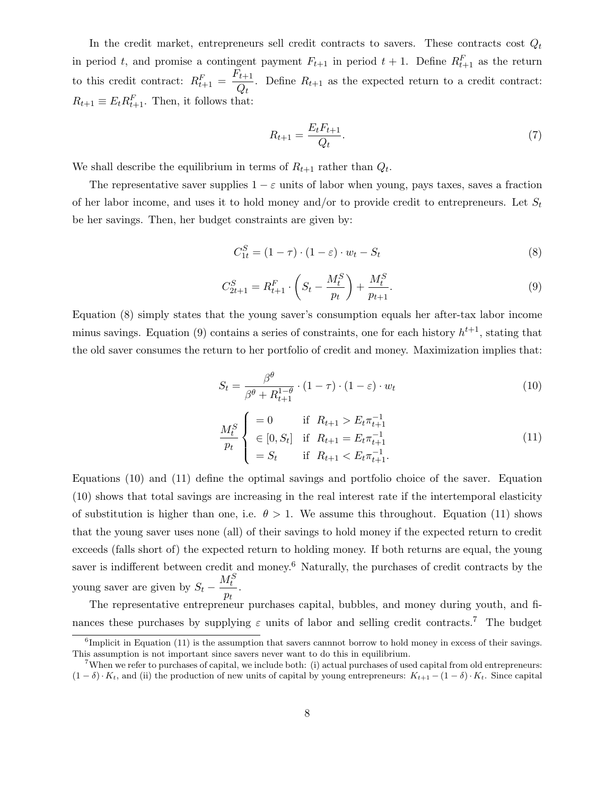In the credit market, entrepreneurs sell credit contracts to savers. These contracts cost  $Q_t$ in period t, and promise a contingent payment  $F_{t+1}$  in period  $t+1$ . Define  $R_{t+1}^F$  as the return to this credit contract:  $R_{t+1}^F = \frac{F_{t+1}}{O}$  $\frac{t+1}{Q_t}$ . Define  $R_{t+1}$  as the expected return to a credit contract:  $R_{t+1} \equiv E_t R_{t+1}^F$ . Then, it follows that:

$$
R_{t+1} = \frac{E_t F_{t+1}}{Q_t}.\tag{7}
$$

We shall describe the equilibrium in terms of  $R_{t+1}$  rather than  $Q_t$ .

The representative saver supplies  $1 - \varepsilon$  units of labor when young, pays taxes, saves a fraction of her labor income, and uses it to hold money and/or to provide credit to entrepreneurs. Let  $S_t$ be her savings. Then, her budget constraints are given by:

$$
C_{1t}^{S} = (1 - \tau) \cdot (1 - \varepsilon) \cdot w_t - S_t \tag{8}
$$

$$
C_{2t+1}^S = R_{t+1}^F \cdot \left( S_t - \frac{M_t^S}{p_t} \right) + \frac{M_t^S}{p_{t+1}}.
$$
\n(9)

Equation (8) simply states that the young saver's consumption equals her after-tax labor income minus savings. Equation (9) contains a series of constraints, one for each history  $h^{t+1}$ , stating that the old saver consumes the return to her portfolio of credit and money. Maximization implies that:

$$
S_t = \frac{\beta^{\theta}}{\beta^{\theta} + R_{t+1}^{1-\theta}} \cdot (1-\tau) \cdot (1-\varepsilon) \cdot w_t \tag{10}
$$

$$
\frac{M_t^S}{p_t} \begin{cases}\n= 0 & \text{if } R_{t+1} > E_t \pi_{t+1}^{-1} \\
\in [0, S_t] & \text{if } R_{t+1} = E_t \pi_{t+1}^{-1} \\
= S_t & \text{if } R_{t+1} < E_t \pi_{t+1}^{-1}.\n\end{cases} (11)
$$

Equations (10) and (11) define the optimal savings and portfolio choice of the saver. Equation (10) shows that total savings are increasing in the real interest rate if the intertemporal elasticity of substitution is higher than one, i.e.  $\theta > 1$ . We assume this throughout. Equation (11) shows that the young saver uses none (all) of their savings to hold money if the expected return to credit exceeds (falls short of) the expected return to holding money. If both returns are equal, the young saver is indifferent between credit and money.<sup>6</sup> Naturally, the purchases of credit contracts by the young saver are given by  $S_t$  –  $M_t^S$  $\frac{t}{p_t}$ .

The representative entrepreneur purchases capital, bubbles, and money during youth, and finances these purchases by supplying  $\varepsilon$  units of labor and selling credit contracts.<sup>7</sup> The budget

<sup>&</sup>lt;sup>6</sup>Implicit in Equation (11) is the assumption that savers cannnot borrow to hold money in excess of their savings. This assumption is not important since savers never want to do this in equilibrium.

<sup>7</sup>When we refer to purchases of capital, we include both: (i) actual purchases of used capital from old entrepreneurs:  $(1 - \delta) \cdot K_t$ , and (ii) the production of new units of capital by young entrepreneurs:  $K_{t+1} - (1 - \delta) \cdot K_t$ . Since capital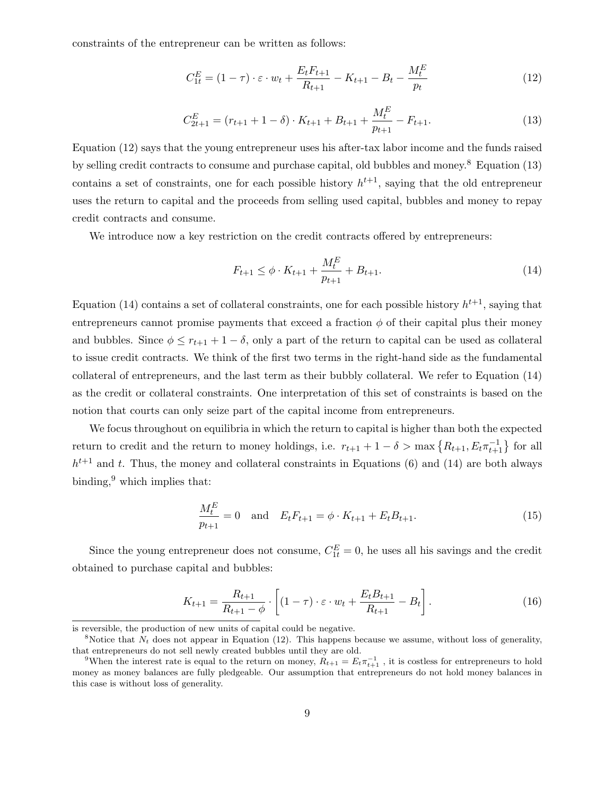constraints of the entrepreneur can be written as follows:

$$
C_{1t}^{E} = (1 - \tau) \cdot \varepsilon \cdot w_t + \frac{E_t F_{t+1}}{R_{t+1}} - K_{t+1} - B_t - \frac{M_t^E}{p_t}
$$
(12)

$$
C_{2t+1}^{E} = (r_{t+1} + 1 - \delta) \cdot K_{t+1} + B_{t+1} + \frac{M_t^E}{p_{t+1}} - F_{t+1}.
$$
\n(13)

Equation (12) says that the young entrepreneur uses his after-tax labor income and the funds raised by selling credit contracts to consume and purchase capital, old bubbles and money.<sup>8</sup> Equation (13) contains a set of constraints, one for each possible history  $h^{t+1}$ , saying that the old entrepreneur uses the return to capital and the proceeds from selling used capital, bubbles and money to repay credit contracts and consume.

We introduce now a key restriction on the credit contracts offered by entrepreneurs:

$$
F_{t+1} \le \phi \cdot K_{t+1} + \frac{M_t^E}{p_{t+1}} + B_{t+1}.
$$
\n(14)

Equation (14) contains a set of collateral constraints, one for each possible history  $h^{t+1}$ , saying that entrepreneurs cannot promise payments that exceed a fraction  $\phi$  of their capital plus their money and bubbles. Since  $\phi \leq r_{t+1} + 1 - \delta$ , only a part of the return to capital can be used as collateral to issue credit contracts. We think of the first two terms in the right-hand side as the fundamental collateral of entrepreneurs, and the last term as their bubbly collateral. We refer to Equation (14) as the credit or collateral constraints. One interpretation of this set of constraints is based on the notion that courts can only seize part of the capital income from entrepreneurs.

We focus throughout on equilibria in which the return to capital is higher than both the expected return to credit and the return to money holdings, i.e.  $r_{t+1} + 1 - \delta > \max\left\{R_{t+1}, E_t \pi_{t+1}^{-1}\right\}$  for all  $h^{t+1}$  and t. Thus, the money and collateral constraints in Equations (6) and (14) are both always binding, $9$  which implies that:

$$
\frac{M_t^E}{p_{t+1}} = 0 \quad \text{and} \quad E_t F_{t+1} = \phi \cdot K_{t+1} + E_t B_{t+1}.
$$
\n(15)

Since the young entrepreneur does not consume,  $C_{1t}^{E} = 0$ , he uses all his savings and the credit obtained to purchase capital and bubbles:

$$
K_{t+1} = \frac{R_{t+1}}{R_{t+1} - \phi} \cdot \left[ (1 - \tau) \cdot \varepsilon \cdot w_t + \frac{E_t B_{t+1}}{R_{t+1}} - B_t \right].
$$
 (16)

is reversible, the production of new units of capital could be negative.

<sup>&</sup>lt;sup>8</sup>Notice that  $N_t$  does not appear in Equation (12). This happens because we assume, without loss of generality, that entrepreneurs do not sell newly created bubbles until they are old.

<sup>&</sup>lt;sup>9</sup>When the interest rate is equal to the return on money,  $R_{t+1} = E_t \pi_{t+1}^{-1}$ , it is costless for entrepreneurs to hold money as money balances are fully pledgeable. Our assumption that entrepreneurs do not hold money balances in this case is without loss of generality.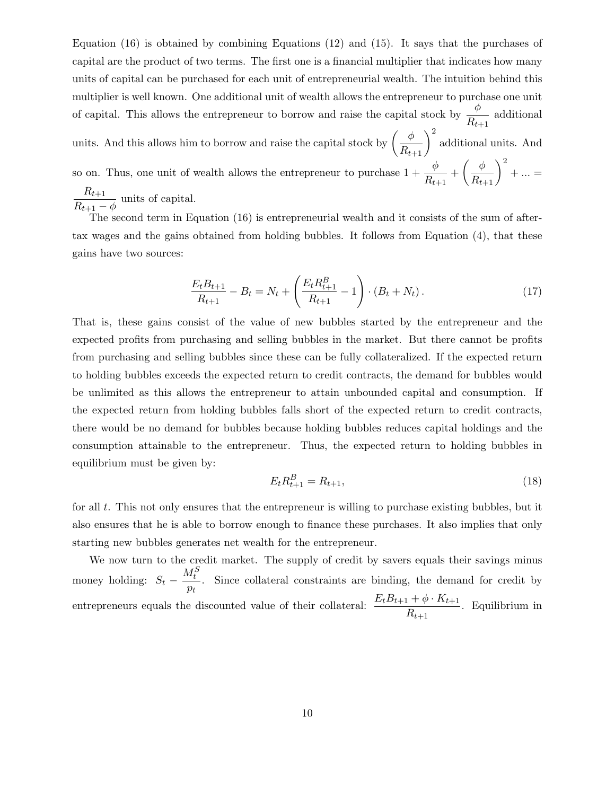Equation (16) is obtained by combining Equations (12) and (15). It says that the purchases of capital are the product of two terms. The first one is a financial multiplier that indicates how many units of capital can be purchased for each unit of entrepreneurial wealth. The intuition behind this multiplier is well known. One additional unit of wealth allows the entrepreneur to purchase one unit of capital. This allows the entrepreneur to borrow and raise the capital stock by  $\frac{\phi}{R}$  $\frac{r}{R_{t+1}}$  additional

units. And this allows him to borrow and raise the capital stock by  $\left(\frac{\phi}{R_{t+1}}\right)^2$ additional units. And so on. Thus, one unit of wealth allows the entrepreneur to purchase  $1 + \frac{\phi}{R}$  $\frac{\phi}{R_{t+1}} + \left(\frac{\phi}{R_{t+1}}\right)^2$  $+ \ldots =$  $R_{t+1}$ 

 $\frac{P(t+1)}{R_{t+1} - \phi}$  units of capital.

The second term in Equation (16) is entrepreneurial wealth and it consists of the sum of aftertax wages and the gains obtained from holding bubbles. It follows from Equation (4), that these gains have two sources:

$$
\frac{E_t B_{t+1}}{R_{t+1}} - B_t = N_t + \left(\frac{E_t R_{t+1}^B}{R_{t+1}} - 1\right) \cdot (B_t + N_t). \tag{17}
$$

That is, these gains consist of the value of new bubbles started by the entrepreneur and the expected profits from purchasing and selling bubbles in the market. But there cannot be profits from purchasing and selling bubbles since these can be fully collateralized. If the expected return to holding bubbles exceeds the expected return to credit contracts, the demand for bubbles would be unlimited as this allows the entrepreneur to attain unbounded capital and consumption. If the expected return from holding bubbles falls short of the expected return to credit contracts, there would be no demand for bubbles because holding bubbles reduces capital holdings and the consumption attainable to the entrepreneur. Thus, the expected return to holding bubbles in equilibrium must be given by:

$$
E_t R_{t+1}^B = R_{t+1},\tag{18}
$$

for all t. This not only ensures that the entrepreneur is willing to purchase existing bubbles, but it also ensures that he is able to borrow enough to finance these purchases. It also implies that only starting new bubbles generates net wealth for the entrepreneur.

We now turn to the credit market. The supply of credit by savers equals their savings minus money holding:  $S_t$  –  $M_t^S$  $\frac{dt}{p_t}$ . Since collateral constraints are binding, the demand for credit by entrepreneurs equals the discounted value of their collateral:  $\frac{E_t B_{t+1} + \phi \cdot K_{t+1}}{R}$  $\frac{R_{t+1}}{R_{t+1}}$ . Equilibrium in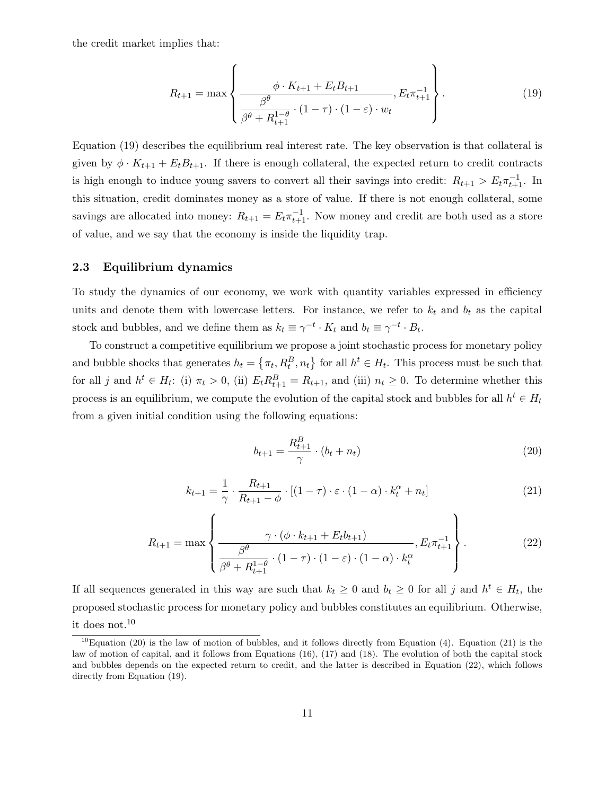the credit market implies that:

$$
R_{t+1} = \max \left\{ \frac{\phi \cdot K_{t+1} + E_t B_{t+1}}{\beta^{\theta} \beta^{\theta} (1 - \tau) \cdot (1 - \varepsilon) \cdot w_t}, E_t \pi_{t+1}^{-1} \right\}.
$$
 (19)

Equation (19) describes the equilibrium real interest rate. The key observation is that collateral is given by  $\phi \cdot K_{t+1} + E_t B_{t+1}$ . If there is enough collateral, the expected return to credit contracts is high enough to induce young savers to convert all their savings into credit:  $R_{t+1} > E_t \pi_{t+1}^{-1}$ . In this situation, credit dominates money as a store of value. If there is not enough collateral, some savings are allocated into money:  $R_{t+1} = E_t \pi_{t+1}^{-1}$ . Now money and credit are both used as a store of value, and we say that the economy is inside the liquidity trap.

#### 2.3 Equilibrium dynamics

To study the dynamics of our economy, we work with quantity variables expressed in efficiency units and denote them with lowercase letters. For instance, we refer to  $k_t$  and  $b_t$  as the capital stock and bubbles, and we define them as  $k_t \equiv \gamma^{-t} \cdot K_t$  and  $b_t \equiv \gamma^{-t} \cdot B_t$ .

To construct a competitive equilibrium we propose a joint stochastic process for monetary policy and bubble shocks that generates  $h_t = \{\pi_t, R_t^B, n_t\}$  for all  $h^t \in H_t$ . This process must be such that for all j and  $h^t \in H_t$ : (i)  $\pi_t > 0$ , (ii)  $E_t R_{t+1}^B = R_{t+1}$ , and (iii)  $n_t \geq 0$ . To determine whether this process is an equilibrium, we compute the evolution of the capital stock and bubbles for all  $h^t \in H_t$ from a given initial condition using the following equations:

$$
b_{t+1} = \frac{R_{t+1}^B}{\gamma} \cdot (b_t + n_t) \tag{20}
$$

$$
k_{t+1} = \frac{1}{\gamma} \cdot \frac{R_{t+1}}{R_{t+1} - \phi} \cdot [(1 - \tau) \cdot \varepsilon \cdot (1 - \alpha) \cdot k_t^{\alpha} + n_t]
$$
\n(21)

$$
R_{t+1} = \max \left\{ \frac{\gamma \cdot (\phi \cdot k_{t+1} + E_t b_{t+1})}{\beta^{\theta} \beta^{0} \cdot (1 - \tau) \cdot (1 - \varepsilon) \cdot (1 - \alpha) \cdot k_t^{\alpha}}, E_t \pi_{t+1}^{-1} \right\}.
$$
 (22)

If all sequences generated in this way are such that  $k_t \geq 0$  and  $b_t \geq 0$  for all j and  $h^t \in H_t$ , the proposed stochastic process for monetary policy and bubbles constitutes an equilibrium. Otherwise, it does not.<sup>10</sup>

<sup>&</sup>lt;sup>10</sup>Equation (20) is the law of motion of bubbles, and it follows directly from Equation (4). Equation (21) is the law of motion of capital, and it follows from Equations (16), (17) and (18). The evolution of both the capital stock and bubbles depends on the expected return to credit, and the latter is described in Equation (22), which follows directly from Equation (19).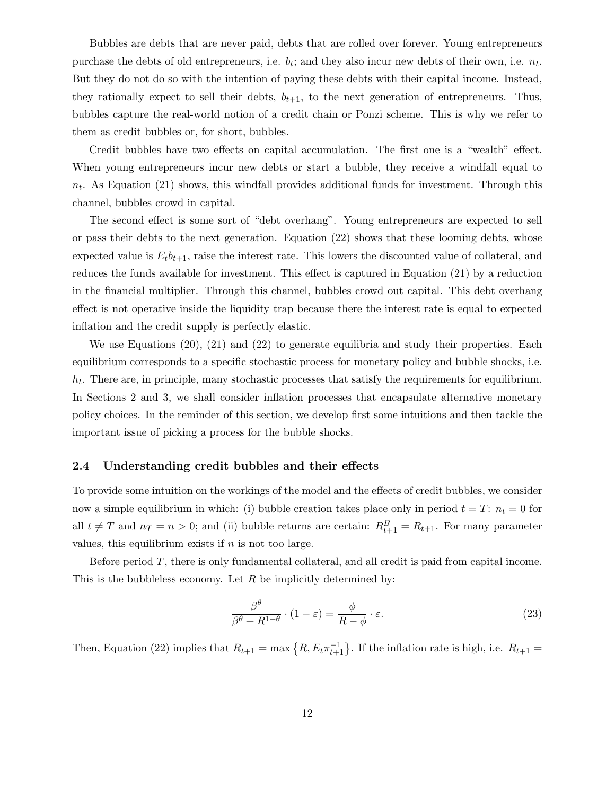Bubbles are debts that are never paid, debts that are rolled over forever. Young entrepreneurs purchase the debts of old entrepreneurs, i.e.  $b_t$ ; and they also incur new debts of their own, i.e.  $n_t$ . But they do not do so with the intention of paying these debts with their capital income. Instead, they rationally expect to sell their debts,  $b_{t+1}$ , to the next generation of entrepreneurs. Thus, bubbles capture the real-world notion of a credit chain or Ponzi scheme. This is why we refer to them as credit bubbles or, for short, bubbles.

Credit bubbles have two effects on capital accumulation. The first one is a "wealth" effect. When young entrepreneurs incur new debts or start a bubble, they receive a windfall equal to  $n_t$ . As Equation (21) shows, this windfall provides additional funds for investment. Through this channel, bubbles crowd in capital.

The second effect is some sort of "debt overhang". Young entrepreneurs are expected to sell or pass their debts to the next generation. Equation (22) shows that these looming debts, whose expected value is  $E_t b_{t+1}$ , raise the interest rate. This lowers the discounted value of collateral, and reduces the funds available for investment. This effect is captured in Equation (21) by a reduction in the financial multiplier. Through this channel, bubbles crowd out capital. This debt overhang effect is not operative inside the liquidity trap because there the interest rate is equal to expected inflation and the credit supply is perfectly elastic.

We use Equations (20), (21) and (22) to generate equilibria and study their properties. Each equilibrium corresponds to a specific stochastic process for monetary policy and bubble shocks, i.e.  $h_t$ . There are, in principle, many stochastic processes that satisfy the requirements for equilibrium. In Sections 2 and 3, we shall consider inflation processes that encapsulate alternative monetary policy choices. In the reminder of this section, we develop first some intuitions and then tackle the important issue of picking a process for the bubble shocks.

#### 2.4 Understanding credit bubbles and their effects

To provide some intuition on the workings of the model and the effects of credit bubbles, we consider now a simple equilibrium in which: (i) bubble creation takes place only in period  $t = T: n_t = 0$  for all  $t \neq T$  and  $n_T = n > 0$ ; and (ii) bubble returns are certain:  $R_{t+1}^B = R_{t+1}$ . For many parameter values, this equilibrium exists if  $n$  is not too large.

Before period T, there is only fundamental collateral, and all credit is paid from capital income. This is the bubbleless economy. Let  $R$  be implicitly determined by:

$$
\frac{\beta^{\theta}}{\beta^{\theta} + R^{1-\theta}} \cdot (1 - \varepsilon) = \frac{\phi}{R - \phi} \cdot \varepsilon.
$$
\n(23)

Then, Equation (22) implies that  $R_{t+1} = \max\{R, E_t \pi_{t+1}^{-1}\}\$ . If the inflation rate is high, i.e.  $R_{t+1} =$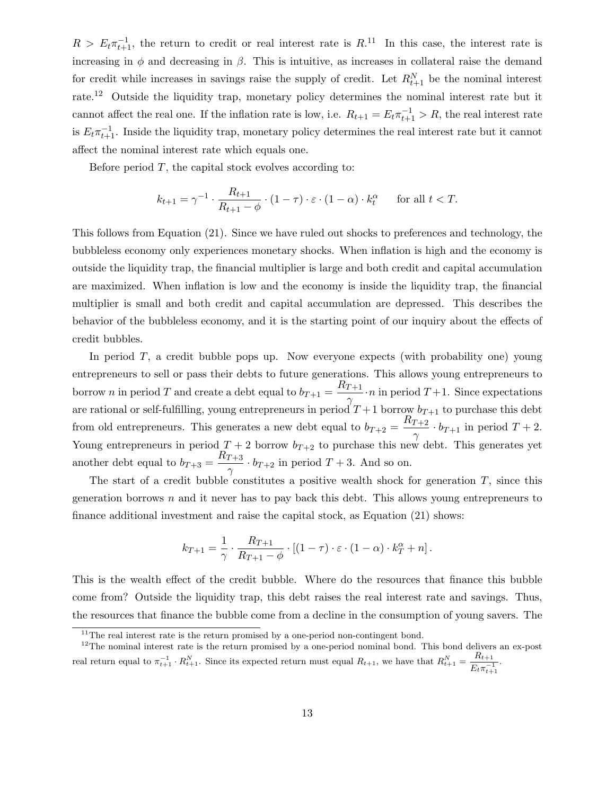$R > E_t \pi_{t+1}^{-1}$ , the return to credit or real interest rate is  $R^{11}$ . In this case, the interest rate is increasing in  $\phi$  and decreasing in  $\beta$ . This is intuitive, as increases in collateral raise the demand for credit while increases in savings raise the supply of credit. Let  $R_{t+1}^N$  be the nominal interest rate.<sup>12</sup> Outside the liquidity trap, monetary policy determines the nominal interest rate but it cannot affect the real one. If the inflation rate is low, i.e.  $R_{t+1} = E_t \pi_{t+1}^{-1} > R$ , the real interest rate is  $E_t \pi_{t+1}^{-1}$ . Inside the liquidity trap, monetary policy determines the real interest rate but it cannot affect the nominal interest rate which equals one.

Before period  $T$ , the capital stock evolves according to:

$$
k_{t+1} = \gamma^{-1} \cdot \frac{R_{t+1}}{R_{t+1} - \phi} \cdot (1 - \tau) \cdot \varepsilon \cdot (1 - \alpha) \cdot k_t^{\alpha} \quad \text{for all } t < T.
$$

This follows from Equation (21). Since we have ruled out shocks to preferences and technology, the bubbleless economy only experiences monetary shocks. When inflation is high and the economy is outside the liquidity trap, the financial multiplier is large and both credit and capital accumulation are maximized. When inflation is low and the economy is inside the liquidity trap, the financial multiplier is small and both credit and capital accumulation are depressed. This describes the behavior of the bubbleless economy, and it is the starting point of our inquiry about the effects of credit bubbles.

In period  $T$ , a credit bubble pops up. Now everyone expects (with probability one) young entrepreneurs to sell or pass their debts to future generations. This allows young entrepreneurs to borrow *n* in period *T* and create a debt equal to  $b_{T+1} = \frac{R_{T+1}}{R_{T+1}}$  $\frac{I+1}{\gamma} \cdot n$  in period  $T+1$ . Since expectations are rational or self-fulfilling, young entrepreneurs in period  $T+1$  borrow  $b_{T+1}$  to purchase this debt from old entrepreneurs. This generates a new debt equal to  $b_{T+2} = \frac{R_{T+2}}{R_{T+2}}$  $\frac{1+2}{\gamma} \cdot b_{T+1}$  in period  $T+2$ . Young entrepreneurs in period  $T + 2$  borrow  $b_{T+2}$  to purchase this new debt. This generates yet another debt equal to  $b_{T+3} = \frac{R_{T+3}}{R_{T+3}}$  $\frac{I+3}{\gamma} \cdot b_{T+2}$  in period  $T+3$ . And so on.

The start of a credit bubble constitutes a positive wealth shock for generation  $T$ , since this generation borrows  $n$  and it never has to pay back this debt. This allows young entrepreneurs to finance additional investment and raise the capital stock, as Equation (21) shows:

$$
k_{T+1} = \frac{1}{\gamma} \cdot \frac{R_{T+1}}{R_{T+1} - \phi} \cdot \left[ (1 - \tau) \cdot \varepsilon \cdot (1 - \alpha) \cdot k_T^{\alpha} + n \right].
$$

This is the wealth effect of the credit bubble. Where do the resources that finance this bubble come from? Outside the liquidity trap, this debt raises the real interest rate and savings. Thus, the resources that finance the bubble come from a decline in the consumption of young savers. The

<sup>&</sup>lt;sup>11</sup>The real interest rate is the return promised by a one-period non-contingent bond.

<sup>&</sup>lt;sup>12</sup>The nominal interest rate is the return promised by a one-period nominal bond. This bond delivers an ex-post real return equal to  $\pi_{t+1}^{-1} \cdot R_{t+1}^N$ . Since its expected return must equal  $R_{t+1}$ , we have that  $R_{t+1}^N = \frac{R_{t+1}}{E_t - 1}$  $E_t \pi_{t+1}^{-1}$ .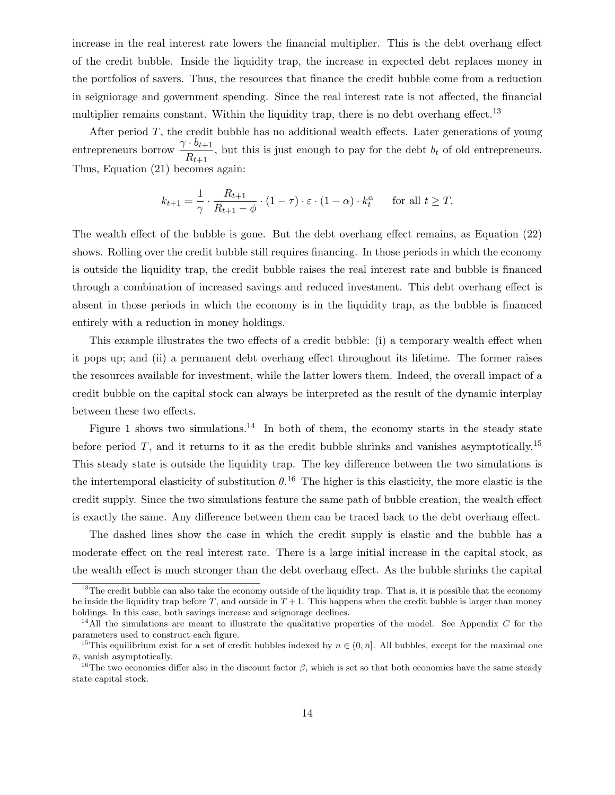increase in the real interest rate lowers the financial multiplier. This is the debt overhang effect of the credit bubble. Inside the liquidity trap, the increase in expected debt replaces money in the portfolios of savers. Thus, the resources that finance the credit bubble come from a reduction in seigniorage and government spending. Since the real interest rate is not affected, the financial multiplier remains constant. Within the liquidity trap, there is no debt overhang effect.<sup>13</sup>

After period  $T$ , the credit bubble has no additional wealth effects. Later generations of young entrepreneurs borrow  $\frac{\gamma \cdot b_{t+1}}{R}$  $\frac{v_{t+1}}{R_{t+1}}$ , but this is just enough to pay for the debt  $b_t$  of old entrepreneurs. Thus, Equation (21) becomes again:

$$
k_{t+1} = \frac{1}{\gamma} \cdot \frac{R_{t+1}}{R_{t+1} - \phi} \cdot (1 - \tau) \cdot \varepsilon \cdot (1 - \alpha) \cdot k_t^{\alpha} \quad \text{for all } t \ge T.
$$

The wealth effect of the bubble is gone. But the debt overhang effect remains, as Equation (22) shows. Rolling over the credit bubble still requires financing. In those periods in which the economy is outside the liquidity trap, the credit bubble raises the real interest rate and bubble is financed through a combination of increased savings and reduced investment. This debt overhang effect is absent in those periods in which the economy is in the liquidity trap, as the bubble is financed entirely with a reduction in money holdings.

This example illustrates the two effects of a credit bubble: (i) a temporary wealth effect when it pops up; and (ii) a permanent debt overhang effect throughout its lifetime. The former raises the resources available for investment, while the latter lowers them. Indeed, the overall impact of a credit bubble on the capital stock can always be interpreted as the result of the dynamic interplay between these two effects.

Figure 1 shows two simulations.<sup>14</sup> In both of them, the economy starts in the steady state before period T, and it returns to it as the credit bubble shrinks and vanishes asymptotically.<sup>15</sup> This steady state is outside the liquidity trap. The key difference between the two simulations is the intertemporal elasticity of substitution  $\theta$ .<sup>16</sup> The higher is this elasticity, the more elastic is the credit supply. Since the two simulations feature the same path of bubble creation, the wealth effect is exactly the same. Any difference between them can be traced back to the debt overhang effect.

The dashed lines show the case in which the credit supply is elastic and the bubble has a moderate effect on the real interest rate. There is a large initial increase in the capital stock, as the wealth effect is much stronger than the debt overhang effect. As the bubble shrinks the capital

 $13$ The credit bubble can also take the economy outside of the liquidity trap. That is, it is possible that the economy be inside the liquidity trap before  $T$ , and outside in  $T+1$ . This happens when the credit bubble is larger than money holdings. In this case, both savings increase and seignorage declines.

<sup>&</sup>lt;sup>14</sup>All the simulations are meant to illustrate the qualitative properties of the model. See Appendix  $C$  for the parameters used to construct each figure.

<sup>&</sup>lt;sup>15</sup>This equilibrium exist for a set of credit bubbles indexed by  $n \in (0, \bar{n}]$ . All bubbles, except for the maximal one  $\bar{n}$ , vanish asymptotically.

<sup>&</sup>lt;sup>16</sup>The two economies differ also in the discount factor  $\beta$ , which is set so that both economies have the same steady state capital stock.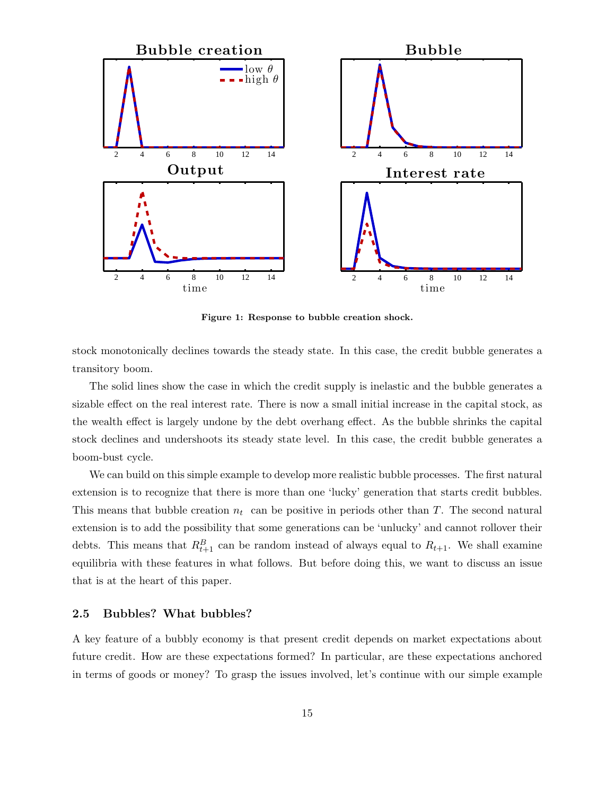

Figure 1: Response to bubble creation shock.

stock monotonically declines towards the steady state. In this case, the credit bubble generates a transitory boom.

The solid lines show the case in which the credit supply is inelastic and the bubble generates a sizable effect on the real interest rate. There is now a small initial increase in the capital stock, as the wealth effect is largely undone by the debt overhang effect. As the bubble shrinks the capital stock declines and undershoots its steady state level. In this case, the credit bubble generates a boom-bust cycle.

We can build on this simple example to develop more realistic bubble processes. The first natural extension is to recognize that there is more than one 'lucky' generation that starts credit bubbles. This means that bubble creation  $n_t$  can be positive in periods other than T. The second natural extension is to add the possibility that some generations can be 'unlucky' and cannot rollover their debts. This means that  $R_{t+1}^B$  can be random instead of always equal to  $R_{t+1}$ . We shall examine equilibria with these features in what follows. But before doing this, we want to discuss an issue that is at the heart of this paper.

#### 2.5 Bubbles? What bubbles?

A key feature of a bubbly economy is that present credit depends on market expectations about future credit. How are these expectations formed? In particular, are these expectations anchored in terms of goods or money? To grasp the issues involved, let's continue with our simple example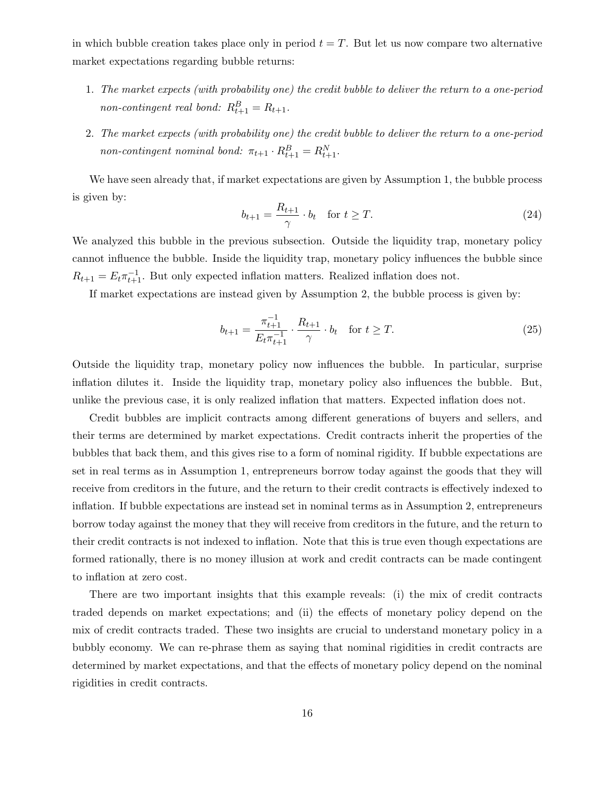in which bubble creation takes place only in period  $t = T$ . But let us now compare two alternative market expectations regarding bubble returns:

- 1. The market expects (with probability one) the credit bubble to deliver the return to a one-period non-contingent real bond:  $R_{t+1}^B = R_{t+1}$ .
- 2. The market expects (with probability one) the credit bubble to deliver the return to a one-period non-contingent nominal bond:  $\pi_{t+1} \cdot R_{t+1}^B = R_{t+1}^N$ .

We have seen already that, if market expectations are given by Assumption 1, the bubble process is given by:

$$
b_{t+1} = \frac{R_{t+1}}{\gamma} \cdot b_t \quad \text{for } t \ge T. \tag{24}
$$

We analyzed this bubble in the previous subsection. Outside the liquidity trap, monetary policy cannot influence the bubble. Inside the liquidity trap, monetary policy influences the bubble since  $R_{t+1} = E_t \pi_{t+1}^{-1}$ . But only expected inflation matters. Realized inflation does not.

If market expectations are instead given by Assumption 2, the bubble process is given by:

$$
b_{t+1} = \frac{\pi_{t+1}^{-1}}{E_t \pi_{t+1}^{-1}} \cdot \frac{R_{t+1}}{\gamma} \cdot b_t \quad \text{for } t \ge T.
$$
 (25)

Outside the liquidity trap, monetary policy now influences the bubble. In particular, surprise inflation dilutes it. Inside the liquidity trap, monetary policy also influences the bubble. But, unlike the previous case, it is only realized inflation that matters. Expected inflation does not.

Credit bubbles are implicit contracts among different generations of buyers and sellers, and their terms are determined by market expectations. Credit contracts inherit the properties of the bubbles that back them, and this gives rise to a form of nominal rigidity. If bubble expectations are set in real terms as in Assumption 1, entrepreneurs borrow today against the goods that they will receive from creditors in the future, and the return to their credit contracts is effectively indexed to inflation. If bubble expectations are instead set in nominal terms as in Assumption 2, entrepreneurs borrow today against the money that they will receive from creditors in the future, and the return to their credit contracts is not indexed to inflation. Note that this is true even though expectations are formed rationally, there is no money illusion at work and credit contracts can be made contingent to inflation at zero cost.

There are two important insights that this example reveals: (i) the mix of credit contracts traded depends on market expectations; and (ii) the effects of monetary policy depend on the mix of credit contracts traded. These two insights are crucial to understand monetary policy in a bubbly economy. We can re-phrase them as saying that nominal rigidities in credit contracts are determined by market expectations, and that the effects of monetary policy depend on the nominal rigidities in credit contracts.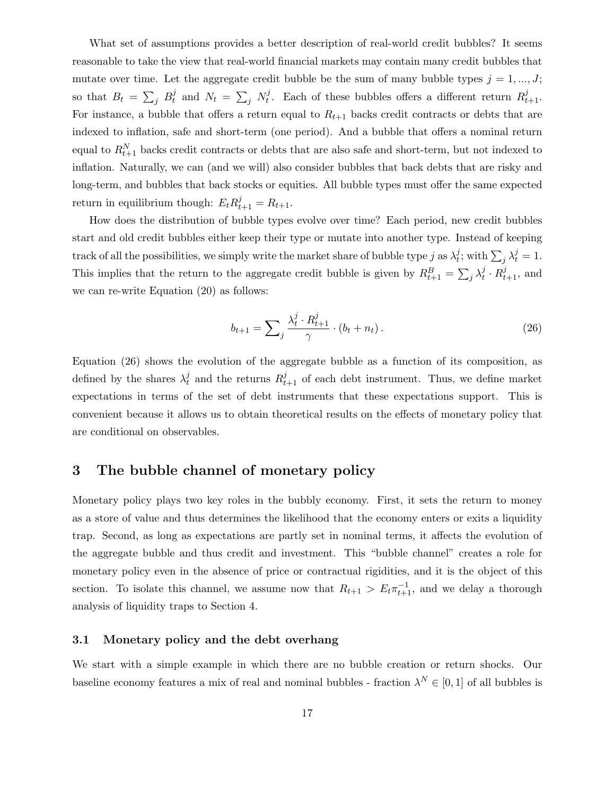What set of assumptions provides a better description of real-world credit bubbles? It seems reasonable to take the view that real-world financial markets may contain many credit bubbles that mutate over time. Let the aggregate credit bubble be the sum of many bubble types  $j = 1, ..., J;$ so that  $B_t = \sum_j B_t^j$  $\frac{j}{t}$  and  $N_t = \sum_j N_t^j$  $t_t^j$ . Each of these bubbles offers a different return  $R_{t+1}^j$ . For instance, a bubble that offers a return equal to  $R_{t+1}$  backs credit contracts or debts that are indexed to inflation, safe and short-term (one period). And a bubble that offers a nominal return equal to  $R_{t+1}^N$  backs credit contracts or debts that are also safe and short-term, but not indexed to inflation. Naturally, we can (and we will) also consider bubbles that back debts that are risky and long-term, and bubbles that back stocks or equities. All bubble types must offer the same expected return in equilibrium though:  $E_t R_{t+1}^j = R_{t+1}$ .

How does the distribution of bubble types evolve over time? Each period, new credit bubbles start and old credit bubbles either keep their type or mutate into another type. Instead of keeping track of all the possibilities, we simply write the market share of bubble type j as  $\lambda_t^j$  $\hat{y}$ ; with  $\sum_j \lambda_t^j = 1$ . This implies that the return to the aggregate credit bubble is given by  $R_{t+1}^B = \sum_j \lambda_t^j$  $i_t^j \cdot R_{t+1}^j$ , and we can re-write Equation (20) as follows:

$$
b_{t+1} = \sum_{j} \frac{\lambda_t^j \cdot R_{t+1}^j}{\gamma} \cdot (b_t + n_t). \tag{26}
$$

Equation (26) shows the evolution of the aggregate bubble as a function of its composition, as defined by the shares  $\lambda_t^j$  $t_t^j$  and the returns  $R_{t+1}^j$  of each debt instrument. Thus, we define market expectations in terms of the set of debt instruments that these expectations support. This is convenient because it allows us to obtain theoretical results on the effects of monetary policy that are conditional on observables.

### 3 The bubble channel of monetary policy

Monetary policy plays two key roles in the bubbly economy. First, it sets the return to money as a store of value and thus determines the likelihood that the economy enters or exits a liquidity trap. Second, as long as expectations are partly set in nominal terms, it affects the evolution of the aggregate bubble and thus credit and investment. This "bubble channel" creates a role for monetary policy even in the absence of price or contractual rigidities, and it is the object of this section. To isolate this channel, we assume now that  $R_{t+1} > E_t \pi_{t+1}^{-1}$ , and we delay a thorough analysis of liquidity traps to Section 4.

### 3.1 Monetary policy and the debt overhang

We start with a simple example in which there are no bubble creation or return shocks. Our baseline economy features a mix of real and nominal bubbles - fraction  $\lambda^N \in [0,1]$  of all bubbles is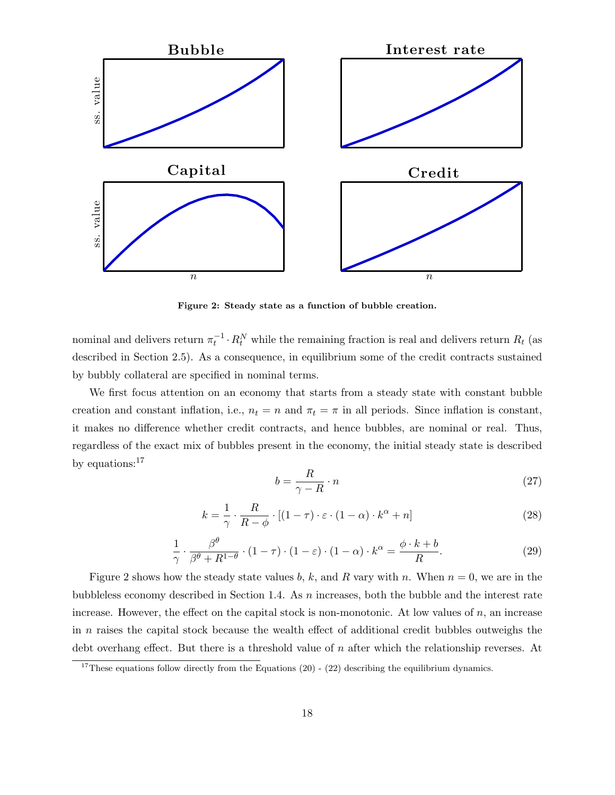

Figure 2: Steady state as a function of bubble creation.

nominal and delivers return  $\pi_t^{-1} \cdot R_t^N$  while the remaining fraction is real and delivers return  $R_t$  (as described in Section 2.5). As a consequence, in equilibrium some of the credit contracts sustained by bubbly collateral are specified in nominal terms.

We first focus attention on an economy that starts from a steady state with constant bubble creation and constant inflation, i.e.,  $n_t = n$  and  $\pi_t = \pi$  in all periods. Since inflation is constant, it makes no difference whether credit contracts, and hence bubbles, are nominal or real. Thus, regardless of the exact mix of bubbles present in the economy, the initial steady state is described by equations:<sup>17</sup>

$$
b = \frac{R}{\gamma - R} \cdot n \tag{27}
$$

$$
k = \frac{1}{\gamma} \cdot \frac{R}{R - \phi} \cdot [(1 - \tau) \cdot \varepsilon \cdot (1 - \alpha) \cdot k^{\alpha} + n]
$$
 (28)

$$
\frac{1}{\gamma} \cdot \frac{\beta^{\theta}}{\beta^{\theta} + R^{1-\theta}} \cdot (1-\tau) \cdot (1-\varepsilon) \cdot (1-\alpha) \cdot k^{\alpha} = \frac{\phi \cdot k + b}{R}.
$$
\n(29)

Figure 2 shows how the steady state values b, k, and R vary with n. When  $n = 0$ , we are in the bubbleless economy described in Section 1.4. As n increases, both the bubble and the interest rate increase. However, the effect on the capital stock is non-monotonic. At low values of  $n$ , an increase in n raises the capital stock because the wealth effect of additional credit bubbles outweighs the debt overhang effect. But there is a threshold value of n after which the relationship reverses. At

<sup>&</sup>lt;sup>17</sup>These equations follow directly from the Equations  $(20)$  -  $(22)$  describing the equilibrium dynamics.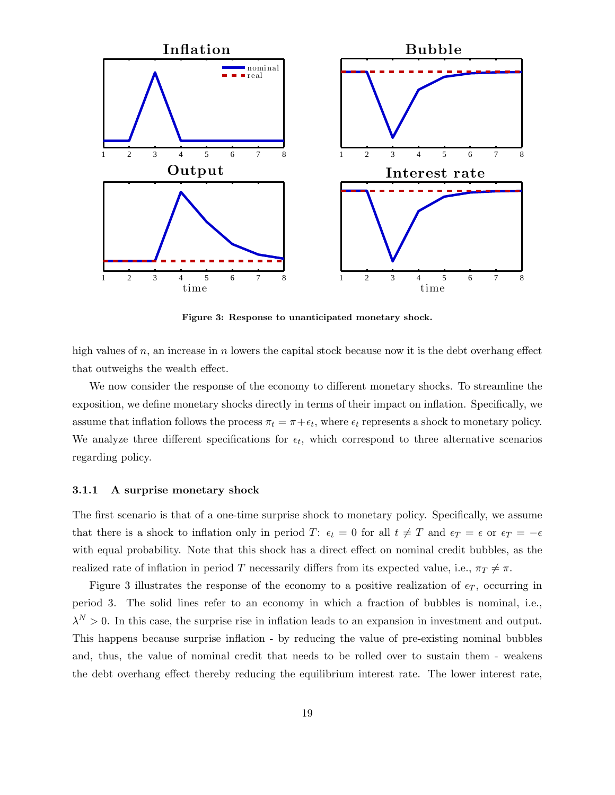

Figure 3: Response to unanticipated monetary shock.

high values of  $n$ , an increase in  $n$  lowers the capital stock because now it is the debt overhang effect that outweighs the wealth effect.

We now consider the response of the economy to different monetary shocks. To streamline the exposition, we define monetary shocks directly in terms of their impact on inflation. Specifically, we assume that inflation follows the process  $\pi_t = \pi + \epsilon_t$ , where  $\epsilon_t$  represents a shock to monetary policy. We analyze three different specifications for  $\epsilon_t$ , which correspond to three alternative scenarios regarding policy.

#### 3.1.1 A surprise monetary shock

The first scenario is that of a one-time surprise shock to monetary policy. Specifically, we assume that there is a shock to inflation only in period T:  $\epsilon_t = 0$  for all  $t \neq T$  and  $\epsilon_T = \epsilon$  or  $\epsilon_T = -\epsilon$ with equal probability. Note that this shock has a direct effect on nominal credit bubbles, as the realized rate of inflation in period T necessarily differs from its expected value, i.e.,  $\pi_T \neq \pi$ .

Figure 3 illustrates the response of the economy to a positive realization of  $\epsilon_T$ , occurring in period 3. The solid lines refer to an economy in which a fraction of bubbles is nominal, i.e.,  $\lambda^N > 0$ . In this case, the surprise rise in inflation leads to an expansion in investment and output. This happens because surprise inflation - by reducing the value of pre-existing nominal bubbles and, thus, the value of nominal credit that needs to be rolled over to sustain them - weakens the debt overhang effect thereby reducing the equilibrium interest rate. The lower interest rate,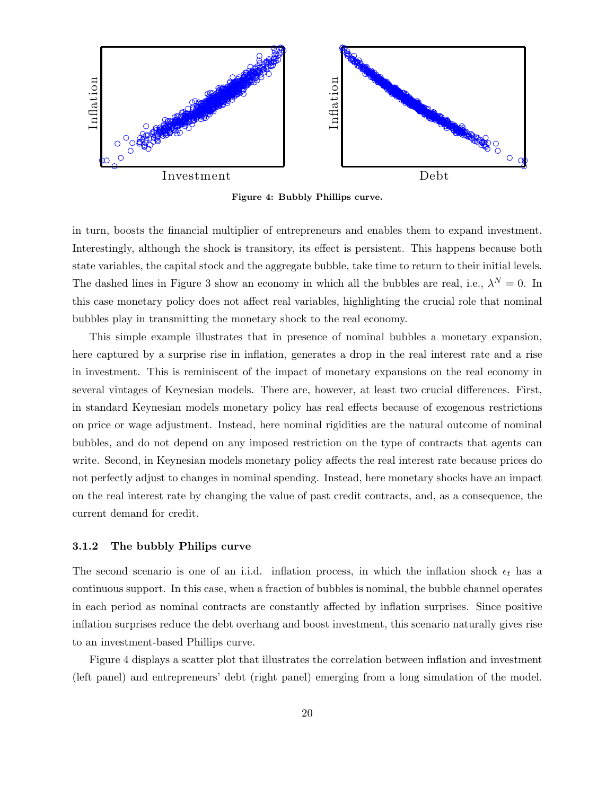

Figure 4: Bubbly Phillips curve.

in turn, boosts the financial multiplier of entrepreneurs and enables them to expand investment. Interestingly, although the shock is transitory, its effect is persistent. This happens because both state variables, the capital stock and the aggregate bubble, take time to return to their initial levels. The dashed lines in Figure 3 show an economy in which all the bubbles are real, i.e.,  $\lambda^N = 0$ . In this case monetary policy does not affect real variables, highlighting the crucial role that nominal bubbles play in transmitting the monetary shock to the real economy.

This simple example illustrates that in presence of nominal bubbles a monetary expansion, here captured by a surprise rise in inflation, generates a drop in the real interest rate and a rise in investment. This is reminiscent of the impact of monetary expansions on the real economy in several vintages of Keynesian models. There are, however, at least two crucial differences. First, in standard Keynesian models monetary policy has real effects because of exogenous restrictions on price or wage adjustment. Instead, here nominal rigidities are the natural outcome of nominal bubbles, and do not depend on any imposed restriction on the type of contracts that agents can write. Second, in Keynesian models monetary policy affects the real interest rate because prices do not perfectly adjust to changes in nominal spending. Instead, here monetary shocks have an impact on the real interest rate by changing the value of past credit contracts, and, as a consequence, the current demand for credit.

#### 3.1.2 The bubbly Philips curve

The second scenario is one of an i.i.d. inflation process, in which the inflation shock  $\epsilon_t$  has a continuous support. In this case, when a fraction of bubbles is nominal, the bubble channel operates in each period as nominal contracts are constantly affected by inflation surprises. Since positive inflation surprises reduce the debt overhang and boost investment, this scenario naturally gives rise to an investment-based Phillips curve.

Figure 4 displays a scatter plot that illustrates the correlation between inflation and investment (left panel) and entrepreneurs' debt (right panel) emerging from a long simulation of the model.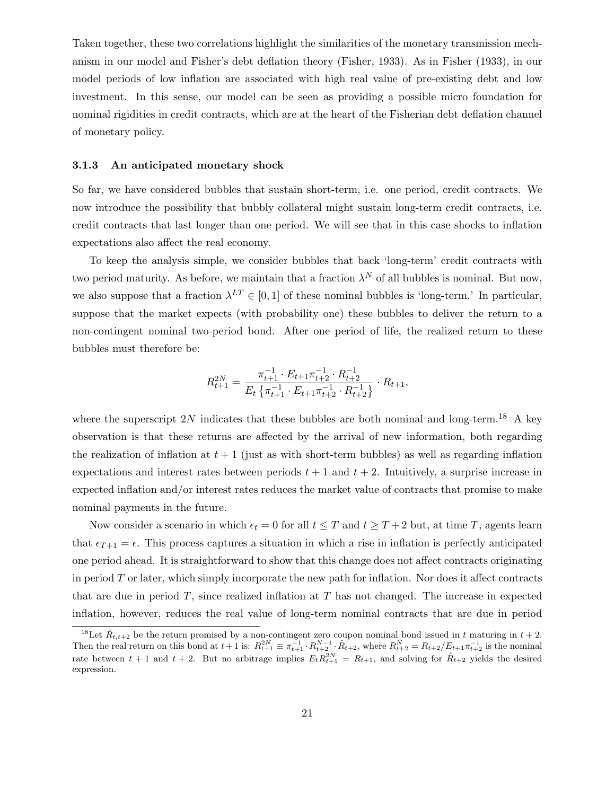Taken together, these two correlations highlight the similarities of the monetary transmission mechanism in our model and Fisher's debt deflation theory (Fisher, 1933). As in Fisher (1933), in our model periods of low inflation are associated with high real value of pre-existing debt and low investment. In this sense, our model can be seen as providing a possible micro foundation for nominal rigidities in credit contracts, which are at the heart of the Fisherian debt deflation channel of monetary policy.

#### 3.1.3 An anticipated monetary shock

So far, we have considered bubbles that sustain short-term, i.e. one period, credit contracts. We now introduce the possibility that bubbly collateral might sustain long-term credit contracts, i.e. credit contracts that last longer than one period. We will see that in this case shocks to inflation expectations also affect the real economy.

To keep the analysis simple, we consider bubbles that back 'long-term' credit contracts with two period maturity. As before, we maintain that a fraction  $\lambda^N$  of all bubbles is nominal. But now, we also suppose that a fraction  $\lambda^{LT} \in [0,1]$  of these nominal bubbles is 'long-term.' In particular, suppose that the market expects (with probability one) these bubbles to deliver the return to a non-contingent nominal two-period bond. After one period of life, the realized return to these bubbles must therefore be:

$$
R_{t+1}^{2N} = \frac{\pi_{t+1}^{-1} \cdot E_{t+1} \pi_{t+2}^{-1} \cdot R_{t+2}^{-1}}{E_t \left\{ \pi_{t+1}^{-1} \cdot E_{t+1} \pi_{t+2}^{-1} \cdot R_{t+2}^{-1} \right\}} \cdot R_{t+1},
$$

where the superscript 2N indicates that these bubbles are both nominal and long-term.<sup>18</sup> A key observation is that these returns are affected by the arrival of new information, both regarding the realization of inflation at  $t + 1$  (just as with short-term bubbles) as well as regarding inflation expectations and interest rates between periods  $t + 1$  and  $t + 2$ . Intuitively, a surprise increase in expected inflation and/or interest rates reduces the market value of contracts that promise to make nominal payments in the future.

Now consider a scenario in which  $\epsilon_t = 0$  for all  $t \leq T$  and  $t \geq T + 2$  but, at time T, agents learn that  $\epsilon_{T+1} = \epsilon$ . This process captures a situation in which a rise in inflation is perfectly anticipated one period ahead. It is straightforward to show that this change does not affect contracts originating in period  $T$  or later, which simply incorporate the new path for inflation. Nor does it affect contracts that are due in period  $T$ , since realized inflation at  $T$  has not changed. The increase in expected inflation, however, reduces the real value of long-term nominal contracts that are due in period

<sup>&</sup>lt;sup>18</sup>Let  $\hat{R}_{t,t+2}$  be the return promised by a non-contingent zero coupon nominal bond issued in t maturing in  $t + 2$ . Then the real return on this bond at  $t + 1$  is:  $R_{t+1}^{2N} = \pi_{t+1}^{-1} \cdot R_{t+2}^{N-1} \cdot \hat{R}_{t+2}$ , where  $R_{t+2}^{N} = R_{t+2}/E_{t+1}\pi_{t+2}^{-1}$  is the nominal rate between  $t + 1$  and  $t + 2$ . But no arbitrage implies  $E_t R_{t+1}^{2N} = R_{t+1}$ , and solving for  $\hat{R}_{t+2}$  yields the desired expression.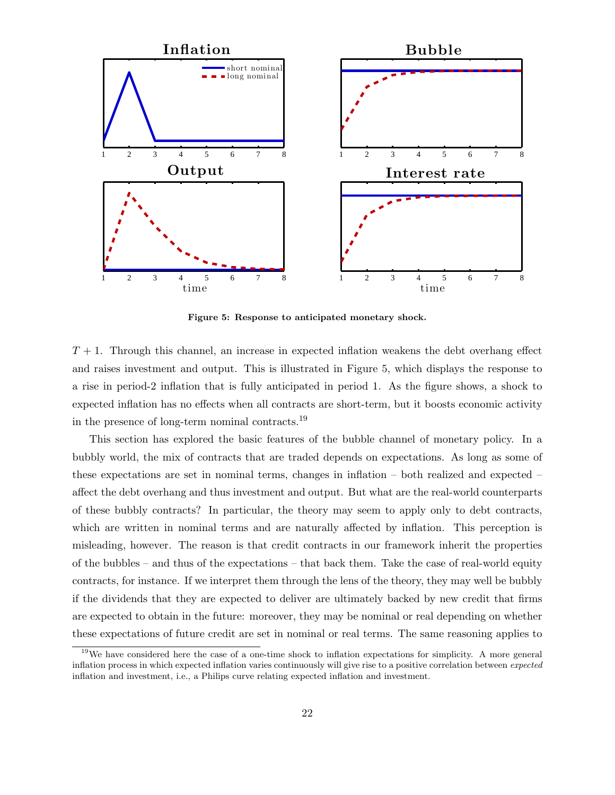

Figure 5: Response to anticipated monetary shock.

 $T+1$ . Through this channel, an increase in expected inflation weakens the debt overhang effect and raises investment and output. This is illustrated in Figure 5, which displays the response to a rise in period-2 inflation that is fully anticipated in period 1. As the figure shows, a shock to expected inflation has no effects when all contracts are short-term, but it boosts economic activity in the presence of long-term nominal contracts.<sup>19</sup>

This section has explored the basic features of the bubble channel of monetary policy. In a bubbly world, the mix of contracts that are traded depends on expectations. As long as some of these expectations are set in nominal terms, changes in inflation – both realized and expected – affect the debt overhang and thus investment and output. But what are the real-world counterparts of these bubbly contracts? In particular, the theory may seem to apply only to debt contracts, which are written in nominal terms and are naturally affected by inflation. This perception is misleading, however. The reason is that credit contracts in our framework inherit the properties of the bubbles – and thus of the expectations – that back them. Take the case of real-world equity contracts, for instance. If we interpret them through the lens of the theory, they may well be bubbly if the dividends that they are expected to deliver are ultimately backed by new credit that firms are expected to obtain in the future: moreover, they may be nominal or real depending on whether these expectations of future credit are set in nominal or real terms. The same reasoning applies to

<sup>&</sup>lt;sup>19</sup>We have considered here the case of a one-time shock to inflation expectations for simplicity. A more general inflation process in which expected inflation varies continuously will give rise to a positive correlation between expected inflation and investment, i.e., a Philips curve relating expected inflation and investment.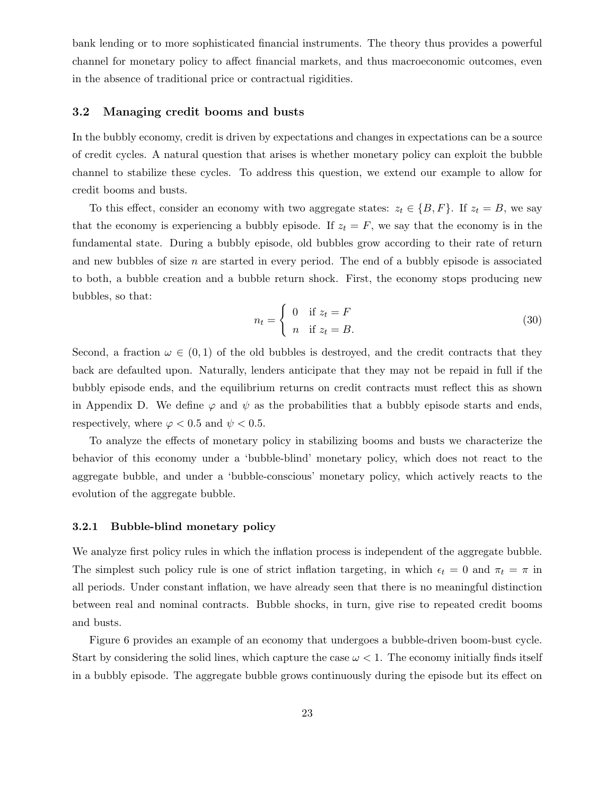bank lending or to more sophisticated financial instruments. The theory thus provides a powerful channel for monetary policy to affect financial markets, and thus macroeconomic outcomes, even in the absence of traditional price or contractual rigidities.

#### 3.2 Managing credit booms and busts

In the bubbly economy, credit is driven by expectations and changes in expectations can be a source of credit cycles. A natural question that arises is whether monetary policy can exploit the bubble channel to stabilize these cycles. To address this question, we extend our example to allow for credit booms and busts.

To this effect, consider an economy with two aggregate states:  $z_t \in \{B, F\}$ . If  $z_t = B$ , we say that the economy is experiencing a bubbly episode. If  $z_t = F$ , we say that the economy is in the fundamental state. During a bubbly episode, old bubbles grow according to their rate of return and new bubbles of size  $n$  are started in every period. The end of a bubbly episode is associated to both, a bubble creation and a bubble return shock. First, the economy stops producing new bubbles, so that:

$$
n_t = \begin{cases} 0 & \text{if } z_t = F \\ n & \text{if } z_t = B. \end{cases}
$$
 (30)

Second, a fraction  $\omega \in (0,1)$  of the old bubbles is destroyed, and the credit contracts that they back are defaulted upon. Naturally, lenders anticipate that they may not be repaid in full if the bubbly episode ends, and the equilibrium returns on credit contracts must reflect this as shown in Appendix D. We define  $\varphi$  and  $\psi$  as the probabilities that a bubbly episode starts and ends, respectively, where  $\varphi < 0.5$  and  $\psi < 0.5$ .

To analyze the effects of monetary policy in stabilizing booms and busts we characterize the behavior of this economy under a 'bubble-blind' monetary policy, which does not react to the aggregate bubble, and under a 'bubble-conscious' monetary policy, which actively reacts to the evolution of the aggregate bubble.

#### 3.2.1 Bubble-blind monetary policy

We analyze first policy rules in which the inflation process is independent of the aggregate bubble. The simplest such policy rule is one of strict inflation targeting, in which  $\epsilon_t = 0$  and  $\pi_t = \pi$  in all periods. Under constant inflation, we have already seen that there is no meaningful distinction between real and nominal contracts. Bubble shocks, in turn, give rise to repeated credit booms and busts.

Figure 6 provides an example of an economy that undergoes a bubble-driven boom-bust cycle. Start by considering the solid lines, which capture the case  $\omega < 1$ . The economy initially finds itself in a bubbly episode. The aggregate bubble grows continuously during the episode but its effect on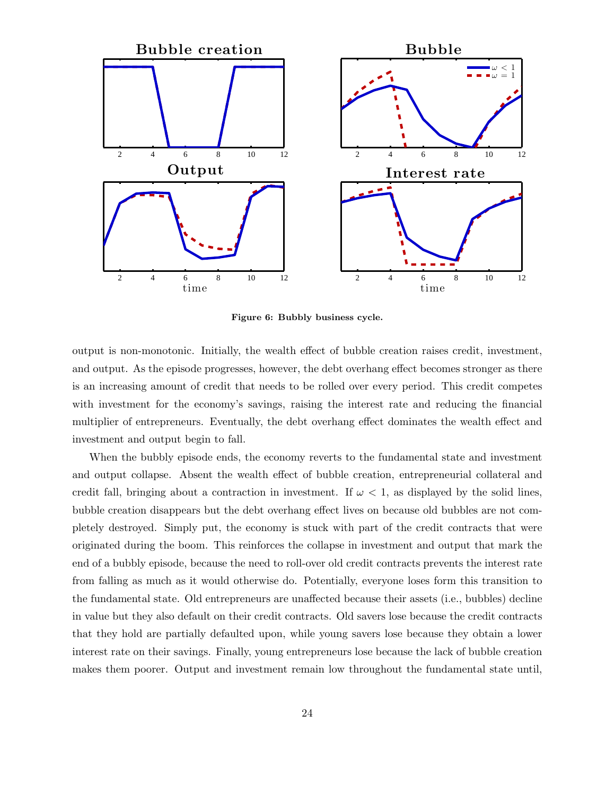

Figure 6: Bubbly business cycle.

output is non-monotonic. Initially, the wealth effect of bubble creation raises credit, investment, and output. As the episode progresses, however, the debt overhang effect becomes stronger as there is an increasing amount of credit that needs to be rolled over every period. This credit competes with investment for the economy's savings, raising the interest rate and reducing the financial multiplier of entrepreneurs. Eventually, the debt overhang effect dominates the wealth effect and investment and output begin to fall.

When the bubbly episode ends, the economy reverts to the fundamental state and investment and output collapse. Absent the wealth effect of bubble creation, entrepreneurial collateral and credit fall, bringing about a contraction in investment. If  $\omega < 1$ , as displayed by the solid lines, bubble creation disappears but the debt overhang effect lives on because old bubbles are not completely destroyed. Simply put, the economy is stuck with part of the credit contracts that were originated during the boom. This reinforces the collapse in investment and output that mark the end of a bubbly episode, because the need to roll-over old credit contracts prevents the interest rate from falling as much as it would otherwise do. Potentially, everyone loses form this transition to the fundamental state. Old entrepreneurs are unaffected because their assets (i.e., bubbles) decline in value but they also default on their credit contracts. Old savers lose because the credit contracts that they hold are partially defaulted upon, while young savers lose because they obtain a lower interest rate on their savings. Finally, young entrepreneurs lose because the lack of bubble creation makes them poorer. Output and investment remain low throughout the fundamental state until,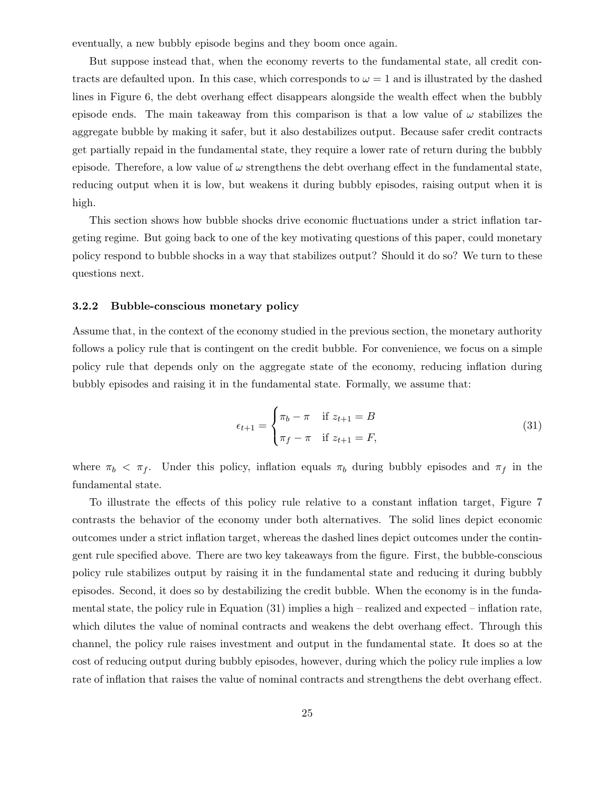eventually, a new bubbly episode begins and they boom once again.

But suppose instead that, when the economy reverts to the fundamental state, all credit contracts are defaulted upon. In this case, which corresponds to  $\omega = 1$  and is illustrated by the dashed lines in Figure 6, the debt overhang effect disappears alongside the wealth effect when the bubbly episode ends. The main takeaway from this comparison is that a low value of  $\omega$  stabilizes the aggregate bubble by making it safer, but it also destabilizes output. Because safer credit contracts get partially repaid in the fundamental state, they require a lower rate of return during the bubbly episode. Therefore, a low value of  $\omega$  strengthens the debt overhang effect in the fundamental state, reducing output when it is low, but weakens it during bubbly episodes, raising output when it is high.

This section shows how bubble shocks drive economic fluctuations under a strict inflation targeting regime. But going back to one of the key motivating questions of this paper, could monetary policy respond to bubble shocks in a way that stabilizes output? Should it do so? We turn to these questions next.

#### 3.2.2 Bubble-conscious monetary policy

Assume that, in the context of the economy studied in the previous section, the monetary authority follows a policy rule that is contingent on the credit bubble. For convenience, we focus on a simple policy rule that depends only on the aggregate state of the economy, reducing inflation during bubbly episodes and raising it in the fundamental state. Formally, we assume that:

$$
\epsilon_{t+1} = \begin{cases} \pi_b - \pi & \text{if } z_{t+1} = B \\ \pi_f - \pi & \text{if } z_{t+1} = F, \end{cases}
$$
 (31)

where  $\pi_b < \pi_f$ . Under this policy, inflation equals  $\pi_b$  during bubbly episodes and  $\pi_f$  in the fundamental state.

To illustrate the effects of this policy rule relative to a constant inflation target, Figure 7 contrasts the behavior of the economy under both alternatives. The solid lines depict economic outcomes under a strict inflation target, whereas the dashed lines depict outcomes under the contingent rule specified above. There are two key takeaways from the figure. First, the bubble-conscious policy rule stabilizes output by raising it in the fundamental state and reducing it during bubbly episodes. Second, it does so by destabilizing the credit bubble. When the economy is in the fundamental state, the policy rule in Equation  $(31)$  implies a high – realized and expected – inflation rate, which dilutes the value of nominal contracts and weakens the debt overhang effect. Through this channel, the policy rule raises investment and output in the fundamental state. It does so at the cost of reducing output during bubbly episodes, however, during which the policy rule implies a low rate of inflation that raises the value of nominal contracts and strengthens the debt overhang effect.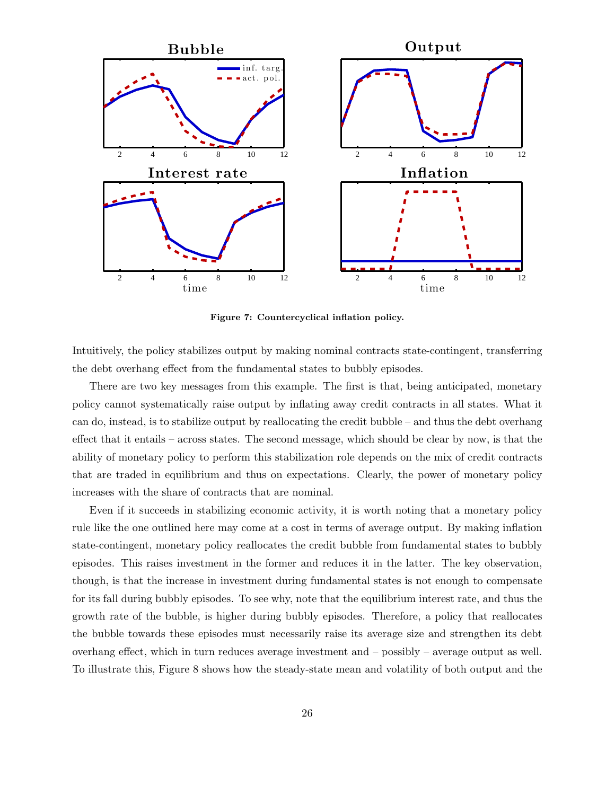

Figure 7: Countercyclical inflation policy.

Intuitively, the policy stabilizes output by making nominal contracts state-contingent, transferring the debt overhang effect from the fundamental states to bubbly episodes.

There are two key messages from this example. The first is that, being anticipated, monetary policy cannot systematically raise output by inflating away credit contracts in all states. What it can do, instead, is to stabilize output by reallocating the credit bubble – and thus the debt overhang effect that it entails – across states. The second message, which should be clear by now, is that the ability of monetary policy to perform this stabilization role depends on the mix of credit contracts that are traded in equilibrium and thus on expectations. Clearly, the power of monetary policy increases with the share of contracts that are nominal.

Even if it succeeds in stabilizing economic activity, it is worth noting that a monetary policy rule like the one outlined here may come at a cost in terms of average output. By making inflation state-contingent, monetary policy reallocates the credit bubble from fundamental states to bubbly episodes. This raises investment in the former and reduces it in the latter. The key observation, though, is that the increase in investment during fundamental states is not enough to compensate for its fall during bubbly episodes. To see why, note that the equilibrium interest rate, and thus the growth rate of the bubble, is higher during bubbly episodes. Therefore, a policy that reallocates the bubble towards these episodes must necessarily raise its average size and strengthen its debt overhang effect, which in turn reduces average investment and – possibly – average output as well. To illustrate this, Figure 8 shows how the steady-state mean and volatility of both output and the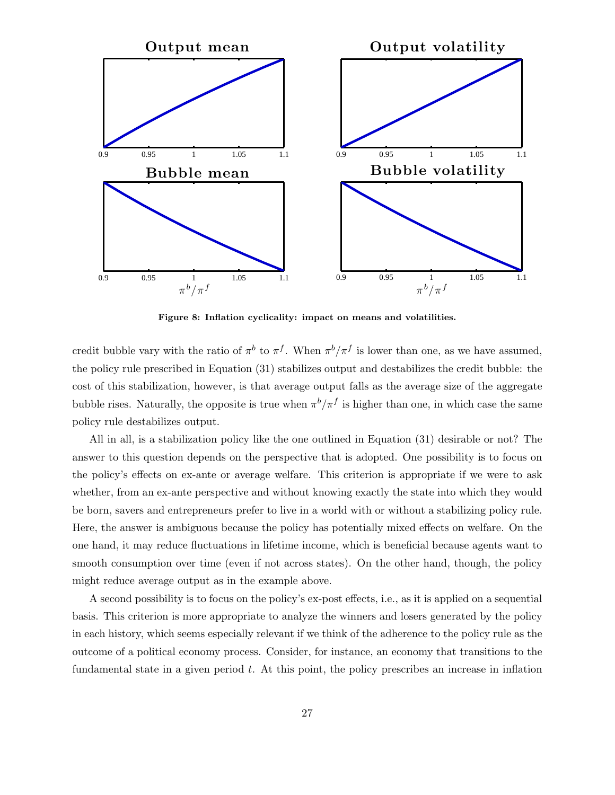

Figure 8: Inflation cyclicality: impact on means and volatilities.

credit bubble vary with the ratio of  $\pi^b$  to  $\pi^f$ . When  $\pi^b/\pi^f$  is lower than one, as we have assumed, the policy rule prescribed in Equation (31) stabilizes output and destabilizes the credit bubble: the cost of this stabilization, however, is that average output falls as the average size of the aggregate bubble rises. Naturally, the opposite is true when  $\pi^b/\pi^f$  is higher than one, in which case the same policy rule destabilizes output.

All in all, is a stabilization policy like the one outlined in Equation (31) desirable or not? The answer to this question depends on the perspective that is adopted. One possibility is to focus on the policy's effects on ex-ante or average welfare. This criterion is appropriate if we were to ask whether, from an ex-ante perspective and without knowing exactly the state into which they would be born, savers and entrepreneurs prefer to live in a world with or without a stabilizing policy rule. Here, the answer is ambiguous because the policy has potentially mixed effects on welfare. On the one hand, it may reduce fluctuations in lifetime income, which is beneficial because agents want to smooth consumption over time (even if not across states). On the other hand, though, the policy might reduce average output as in the example above.

A second possibility is to focus on the policy's ex-post effects, i.e., as it is applied on a sequential basis. This criterion is more appropriate to analyze the winners and losers generated by the policy in each history, which seems especially relevant if we think of the adherence to the policy rule as the outcome of a political economy process. Consider, for instance, an economy that transitions to the fundamental state in a given period  $t$ . At this point, the policy prescribes an increase in inflation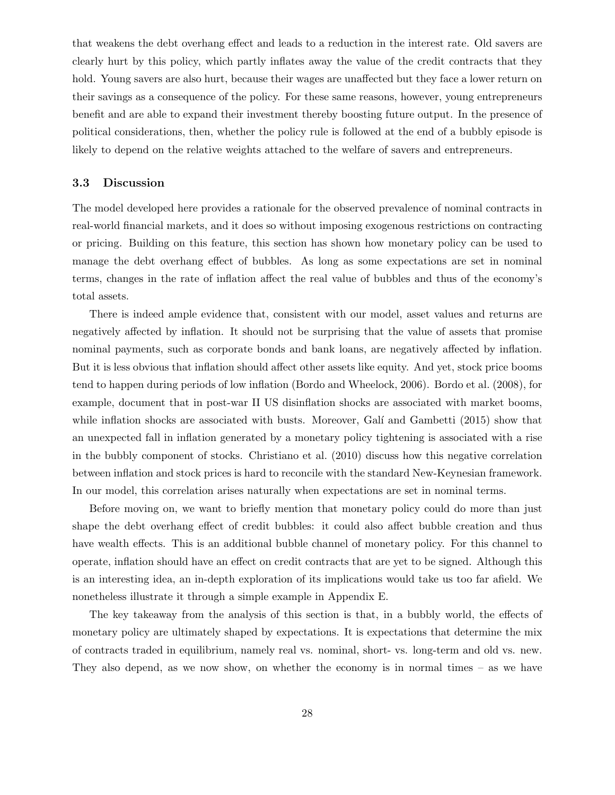that weakens the debt overhang effect and leads to a reduction in the interest rate. Old savers are clearly hurt by this policy, which partly inflates away the value of the credit contracts that they hold. Young savers are also hurt, because their wages are unaffected but they face a lower return on their savings as a consequence of the policy. For these same reasons, however, young entrepreneurs benefit and are able to expand their investment thereby boosting future output. In the presence of political considerations, then, whether the policy rule is followed at the end of a bubbly episode is likely to depend on the relative weights attached to the welfare of savers and entrepreneurs.

#### 3.3 Discussion

The model developed here provides a rationale for the observed prevalence of nominal contracts in real-world financial markets, and it does so without imposing exogenous restrictions on contracting or pricing. Building on this feature, this section has shown how monetary policy can be used to manage the debt overhang effect of bubbles. As long as some expectations are set in nominal terms, changes in the rate of inflation affect the real value of bubbles and thus of the economy's total assets.

There is indeed ample evidence that, consistent with our model, asset values and returns are negatively affected by inflation. It should not be surprising that the value of assets that promise nominal payments, such as corporate bonds and bank loans, are negatively affected by inflation. But it is less obvious that inflation should affect other assets like equity. And yet, stock price booms tend to happen during periods of low inflation (Bordo and Wheelock, 2006). Bordo et al. (2008), for example, document that in post-war II US disinflation shocks are associated with market booms, while inflation shocks are associated with busts. Moreover, Galí and Gambetti (2015) show that an unexpected fall in inflation generated by a monetary policy tightening is associated with a rise in the bubbly component of stocks. Christiano et al. (2010) discuss how this negative correlation between inflation and stock prices is hard to reconcile with the standard New-Keynesian framework. In our model, this correlation arises naturally when expectations are set in nominal terms.

Before moving on, we want to briefly mention that monetary policy could do more than just shape the debt overhang effect of credit bubbles: it could also affect bubble creation and thus have wealth effects. This is an additional bubble channel of monetary policy. For this channel to operate, inflation should have an effect on credit contracts that are yet to be signed. Although this is an interesting idea, an in-depth exploration of its implications would take us too far afield. We nonetheless illustrate it through a simple example in Appendix E.

The key takeaway from the analysis of this section is that, in a bubbly world, the effects of monetary policy are ultimately shaped by expectations. It is expectations that determine the mix of contracts traded in equilibrium, namely real vs. nominal, short- vs. long-term and old vs. new. They also depend, as we now show, on whether the economy is in normal times – as we have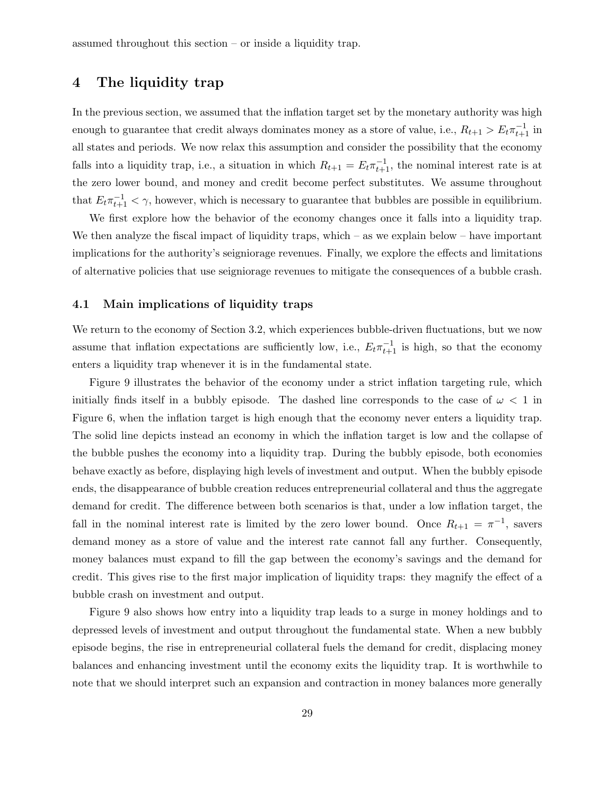## 4 The liquidity trap

In the previous section, we assumed that the inflation target set by the monetary authority was high enough to guarantee that credit always dominates money as a store of value, i.e.,  $R_{t+1} > E_t \pi_{t+1}^{-1}$  in all states and periods. We now relax this assumption and consider the possibility that the economy falls into a liquidity trap, i.e., a situation in which  $R_{t+1} = E_t \pi_{t+1}^{-1}$ , the nominal interest rate is at the zero lower bound, and money and credit become perfect substitutes. We assume throughout that  $E_t \pi_{t+1}^{-1} < \gamma$ , however, which is necessary to guarantee that bubbles are possible in equilibrium.

We first explore how the behavior of the economy changes once it falls into a liquidity trap. We then analyze the fiscal impact of liquidity traps, which – as we explain below – have important implications for the authority's seigniorage revenues. Finally, we explore the effects and limitations of alternative policies that use seigniorage revenues to mitigate the consequences of a bubble crash.

#### 4.1 Main implications of liquidity traps

We return to the economy of Section 3.2, which experiences bubble-driven fluctuations, but we now assume that inflation expectations are sufficiently low, i.e.,  $E_t \pi_{t+1}^{-1}$  is high, so that the economy enters a liquidity trap whenever it is in the fundamental state.

Figure 9 illustrates the behavior of the economy under a strict inflation targeting rule, which initially finds itself in a bubbly episode. The dashed line corresponds to the case of  $\omega < 1$  in Figure 6, when the inflation target is high enough that the economy never enters a liquidity trap. The solid line depicts instead an economy in which the inflation target is low and the collapse of the bubble pushes the economy into a liquidity trap. During the bubbly episode, both economies behave exactly as before, displaying high levels of investment and output. When the bubbly episode ends, the disappearance of bubble creation reduces entrepreneurial collateral and thus the aggregate demand for credit. The difference between both scenarios is that, under a low inflation target, the fall in the nominal interest rate is limited by the zero lower bound. Once  $R_{t+1} = \pi^{-1}$ , savers demand money as a store of value and the interest rate cannot fall any further. Consequently, money balances must expand to fill the gap between the economy's savings and the demand for credit. This gives rise to the first major implication of liquidity traps: they magnify the effect of a bubble crash on investment and output.

Figure 9 also shows how entry into a liquidity trap leads to a surge in money holdings and to depressed levels of investment and output throughout the fundamental state. When a new bubbly episode begins, the rise in entrepreneurial collateral fuels the demand for credit, displacing money balances and enhancing investment until the economy exits the liquidity trap. It is worthwhile to note that we should interpret such an expansion and contraction in money balances more generally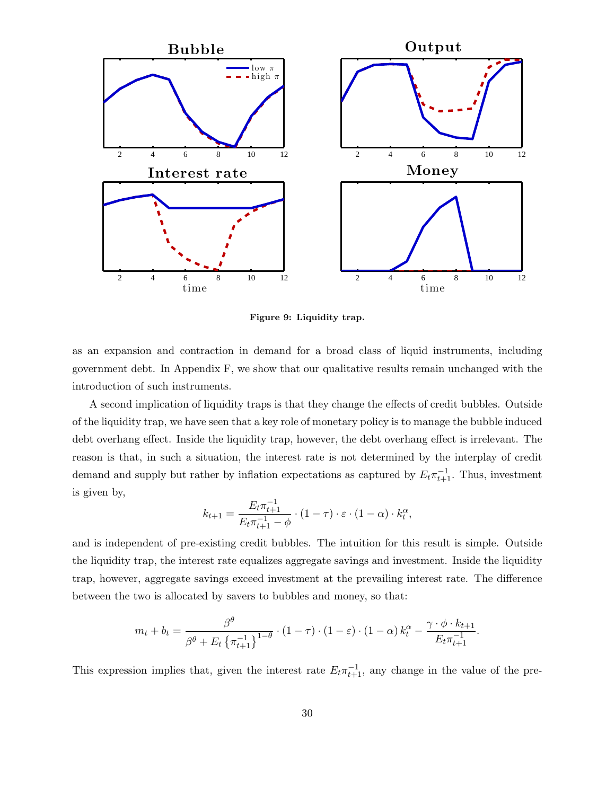

Figure 9: Liquidity trap.

as an expansion and contraction in demand for a broad class of liquid instruments, including government debt. In Appendix F, we show that our qualitative results remain unchanged with the introduction of such instruments.

A second implication of liquidity traps is that they change the effects of credit bubbles. Outside of the liquidity trap, we have seen that a key role of monetary policy is to manage the bubble induced debt overhang effect. Inside the liquidity trap, however, the debt overhang effect is irrelevant. The reason is that, in such a situation, the interest rate is not determined by the interplay of credit demand and supply but rather by inflation expectations as captured by  $E_t \pi_{t+1}^{-1}$ . Thus, investment is given by,

$$
k_{t+1} = \frac{E_t \pi_{t+1}^{-1}}{E_t \pi_{t+1}^{-1} - \phi} \cdot (1 - \tau) \cdot \varepsilon \cdot (1 - \alpha) \cdot k_t^{\alpha},
$$

and is independent of pre-existing credit bubbles. The intuition for this result is simple. Outside the liquidity trap, the interest rate equalizes aggregate savings and investment. Inside the liquidity trap, however, aggregate savings exceed investment at the prevailing interest rate. The difference between the two is allocated by savers to bubbles and money, so that:

$$
m_t + b_t = \frac{\beta^{\theta}}{\beta^{\theta} + E_t \left\{ \pi_{t+1}^{-1} \right\}^{1-\theta}} \cdot (1-\tau) \cdot (1-\varepsilon) \cdot (1-\alpha) k_t^{\alpha} - \frac{\gamma \cdot \phi \cdot k_{t+1}}{E_t \pi_{t+1}^{-1}}.
$$

This expression implies that, given the interest rate  $E_t \pi_{t+1}^{-1}$ , any change in the value of the pre-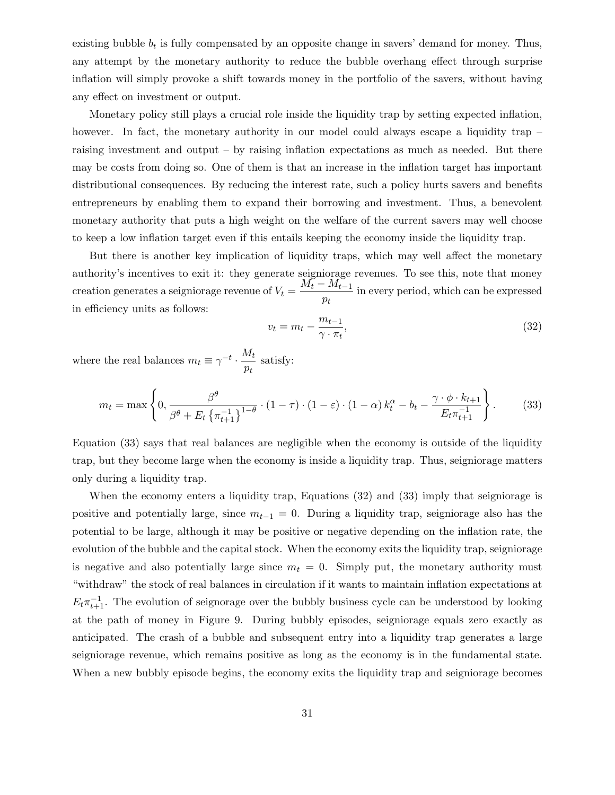existing bubble  $b_t$  is fully compensated by an opposite change in savers' demand for money. Thus, any attempt by the monetary authority to reduce the bubble overhang effect through surprise inflation will simply provoke a shift towards money in the portfolio of the savers, without having any effect on investment or output.

Monetary policy still plays a crucial role inside the liquidity trap by setting expected inflation, however. In fact, the monetary authority in our model could always escape a liquidity trap – raising investment and output – by raising inflation expectations as much as needed. But there may be costs from doing so. One of them is that an increase in the inflation target has important distributional consequences. By reducing the interest rate, such a policy hurts savers and benefits entrepreneurs by enabling them to expand their borrowing and investment. Thus, a benevolent monetary authority that puts a high weight on the welfare of the current savers may well choose to keep a low inflation target even if this entails keeping the economy inside the liquidity trap.

But there is another key implication of liquidity traps, which may well affect the monetary authority's incentives to exit it: they generate seigniorage revenues. To see this, note that money creation generates a seigniorage revenue of  $V_t = \frac{M_t - M_{t-1}^2}{r}$  $\frac{n_{t-1}}{p_t}$  in every period, which can be expressed in efficiency units as follows:

$$
v_t = m_t - \frac{m_{t-1}}{\gamma \cdot \pi_t},\tag{32}
$$

where the real balances  $m_t \equiv \gamma^{-t} \cdot \frac{M_t}{m}$  $\frac{n}{p_t}$  satisfy:

$$
m_t = \max\left\{0, \frac{\beta^{\theta}}{\beta^{\theta} + E_t \left\{\pi_{t+1}^{-1}\right\}^{1-\theta}} \cdot (1-\tau) \cdot (1-\varepsilon) \cdot (1-\alpha) k_t^{\alpha} - b_t - \frac{\gamma \cdot \phi \cdot k_{t+1}}{E_t \pi_{t+1}^{-1}}\right\}.
$$
 (33)

Equation (33) says that real balances are negligible when the economy is outside of the liquidity trap, but they become large when the economy is inside a liquidity trap. Thus, seigniorage matters only during a liquidity trap.

When the economy enters a liquidity trap, Equations (32) and (33) imply that seigniorage is positive and potentially large, since  $m_{t-1} = 0$ . During a liquidity trap, seigniorage also has the potential to be large, although it may be positive or negative depending on the inflation rate, the evolution of the bubble and the capital stock. When the economy exits the liquidity trap, seigniorage is negative and also potentially large since  $m_t = 0$ . Simply put, the monetary authority must "withdraw" the stock of real balances in circulation if it wants to maintain inflation expectations at  $E_t \pi_{t+1}^{-1}$ . The evolution of seignorage over the bubbly business cycle can be understood by looking at the path of money in Figure 9. During bubbly episodes, seigniorage equals zero exactly as anticipated. The crash of a bubble and subsequent entry into a liquidity trap generates a large seigniorage revenue, which remains positive as long as the economy is in the fundamental state. When a new bubbly episode begins, the economy exits the liquidity trap and seigniorage becomes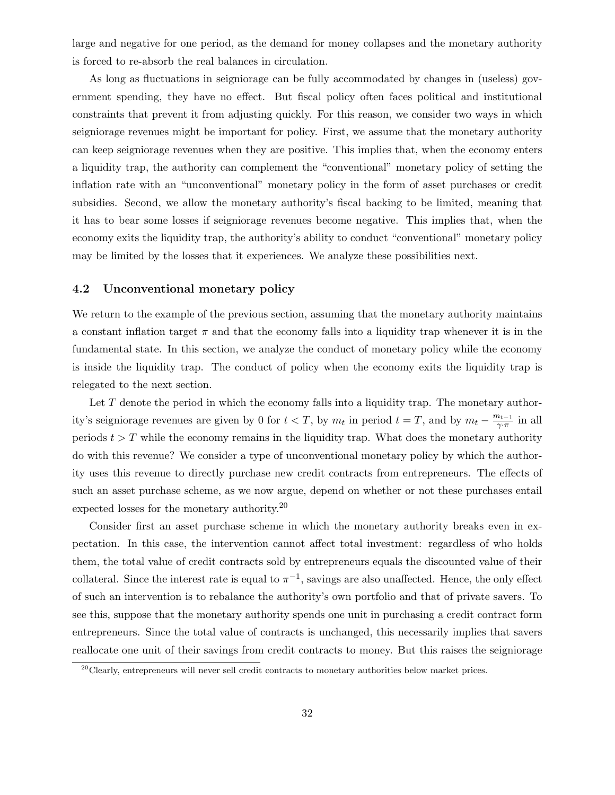large and negative for one period, as the demand for money collapses and the monetary authority is forced to re-absorb the real balances in circulation.

As long as fluctuations in seigniorage can be fully accommodated by changes in (useless) government spending, they have no effect. But fiscal policy often faces political and institutional constraints that prevent it from adjusting quickly. For this reason, we consider two ways in which seigniorage revenues might be important for policy. First, we assume that the monetary authority can keep seigniorage revenues when they are positive. This implies that, when the economy enters a liquidity trap, the authority can complement the "conventional" monetary policy of setting the inflation rate with an "unconventional" monetary policy in the form of asset purchases or credit subsidies. Second, we allow the monetary authority's fiscal backing to be limited, meaning that it has to bear some losses if seigniorage revenues become negative. This implies that, when the economy exits the liquidity trap, the authority's ability to conduct "conventional" monetary policy may be limited by the losses that it experiences. We analyze these possibilities next.

#### 4.2 Unconventional monetary policy

We return to the example of the previous section, assuming that the monetary authority maintains a constant inflation target  $\pi$  and that the economy falls into a liquidity trap whenever it is in the fundamental state. In this section, we analyze the conduct of monetary policy while the economy is inside the liquidity trap. The conduct of policy when the economy exits the liquidity trap is relegated to the next section.

Let  $T$  denote the period in which the economy falls into a liquidity trap. The monetary authority's seigniorage revenues are given by 0 for  $t < T$ , by  $m_t$  in period  $t = T$ , and by  $m_t - \frac{m_{t-1}}{\gamma \sqrt{T}}$  $\frac{n_{t-1}}{\gamma \cdot \pi}$  in all periods  $t > T$  while the economy remains in the liquidity trap. What does the monetary authority do with this revenue? We consider a type of unconventional monetary policy by which the authority uses this revenue to directly purchase new credit contracts from entrepreneurs. The effects of such an asset purchase scheme, as we now argue, depend on whether or not these purchases entail expected losses for the monetary authority.<sup>20</sup>

Consider first an asset purchase scheme in which the monetary authority breaks even in expectation. In this case, the intervention cannot affect total investment: regardless of who holds them, the total value of credit contracts sold by entrepreneurs equals the discounted value of their collateral. Since the interest rate is equal to  $\pi^{-1}$ , savings are also unaffected. Hence, the only effect of such an intervention is to rebalance the authority's own portfolio and that of private savers. To see this, suppose that the monetary authority spends one unit in purchasing a credit contract form entrepreneurs. Since the total value of contracts is unchanged, this necessarily implies that savers reallocate one unit of their savings from credit contracts to money. But this raises the seigniorage

 $^{20}$ Clearly, entrepreneurs will never sell credit contracts to monetary authorities below market prices.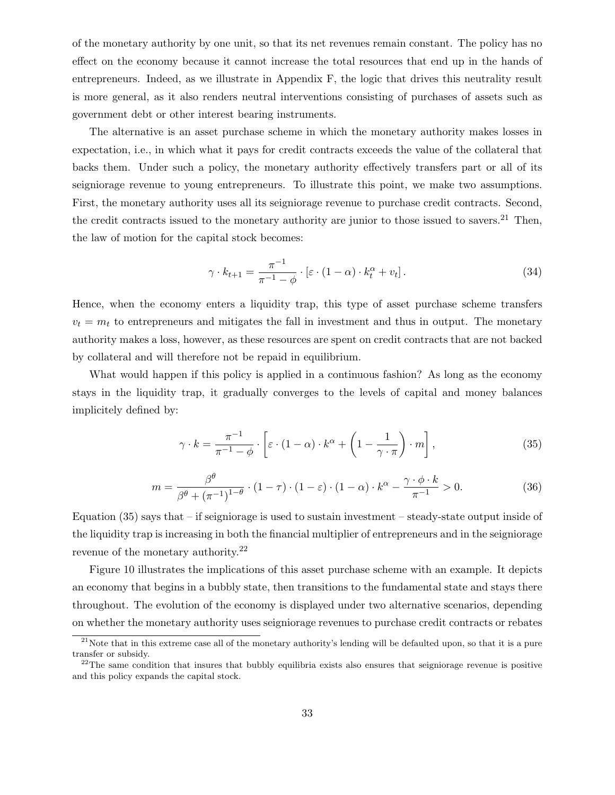of the monetary authority by one unit, so that its net revenues remain constant. The policy has no effect on the economy because it cannot increase the total resources that end up in the hands of entrepreneurs. Indeed, as we illustrate in Appendix F, the logic that drives this neutrality result is more general, as it also renders neutral interventions consisting of purchases of assets such as government debt or other interest bearing instruments.

The alternative is an asset purchase scheme in which the monetary authority makes losses in expectation, i.e., in which what it pays for credit contracts exceeds the value of the collateral that backs them. Under such a policy, the monetary authority effectively transfers part or all of its seigniorage revenue to young entrepreneurs. To illustrate this point, we make two assumptions. First, the monetary authority uses all its seigniorage revenue to purchase credit contracts. Second, the credit contracts issued to the monetary authority are junior to those issued to savers.<sup>21</sup> Then, the law of motion for the capital stock becomes:

$$
\gamma \cdot k_{t+1} = \frac{\pi^{-1}}{\pi^{-1} - \phi} \cdot \left[ \varepsilon \cdot (1 - \alpha) \cdot k_t^{\alpha} + v_t \right]. \tag{34}
$$

Hence, when the economy enters a liquidity trap, this type of asset purchase scheme transfers  $v_t = m_t$  to entrepreneurs and mitigates the fall in investment and thus in output. The monetary authority makes a loss, however, as these resources are spent on credit contracts that are not backed by collateral and will therefore not be repaid in equilibrium.

What would happen if this policy is applied in a continuous fashion? As long as the economy stays in the liquidity trap, it gradually converges to the levels of capital and money balances implicitely defined by:

$$
\gamma \cdot k = \frac{\pi^{-1}}{\pi^{-1} - \phi} \cdot \left[ \varepsilon \cdot (1 - \alpha) \cdot k^{\alpha} + \left( 1 - \frac{1}{\gamma \cdot \pi} \right) \cdot m \right],\tag{35}
$$

$$
m = \frac{\beta^{\theta}}{\beta^{\theta} + (\pi^{-1})^{1-\theta}} \cdot (1-\tau) \cdot (1-\varepsilon) \cdot (1-\alpha) \cdot k^{\alpha} - \frac{\gamma \cdot \phi \cdot k}{\pi^{-1}} > 0. \tag{36}
$$

Equation  $(35)$  says that – if seigniorage is used to sustain investment – steady-state output inside of the liquidity trap is increasing in both the financial multiplier of entrepreneurs and in the seigniorage revenue of the monetary authority.<sup>22</sup>

Figure 10 illustrates the implications of this asset purchase scheme with an example. It depicts an economy that begins in a bubbly state, then transitions to the fundamental state and stays there throughout. The evolution of the economy is displayed under two alternative scenarios, depending on whether the monetary authority uses seigniorage revenues to purchase credit contracts or rebates

 $2<sup>1</sup>$  Note that in this extreme case all of the monetary authority's lending will be defaulted upon, so that it is a pure transfer or subsidy.

 $^{22}$ The same condition that insures that bubbly equilibria exists also ensures that seigniorage revenue is positive and this policy expands the capital stock.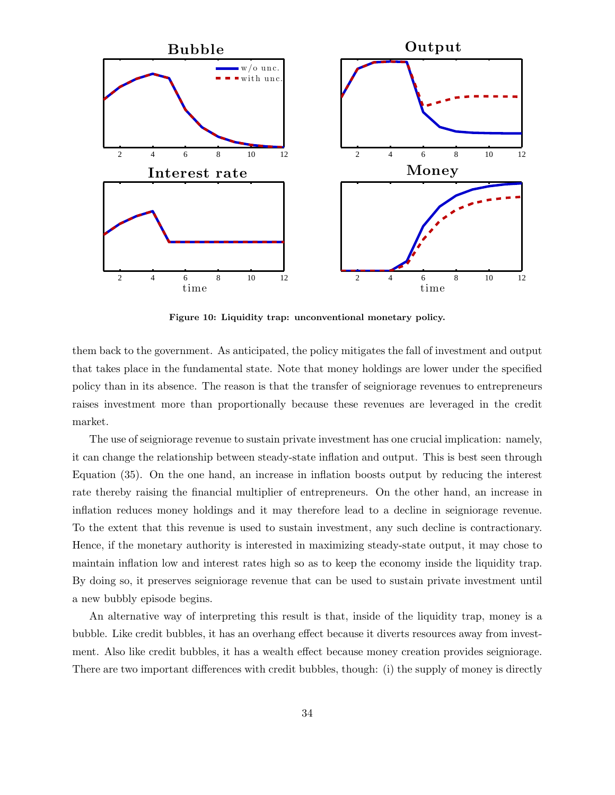

Figure 10: Liquidity trap: unconventional monetary policy.

them back to the government. As anticipated, the policy mitigates the fall of investment and output that takes place in the fundamental state. Note that money holdings are lower under the specified policy than in its absence. The reason is that the transfer of seigniorage revenues to entrepreneurs raises investment more than proportionally because these revenues are leveraged in the credit market.

The use of seigniorage revenue to sustain private investment has one crucial implication: namely, it can change the relationship between steady-state inflation and output. This is best seen through Equation (35). On the one hand, an increase in inflation boosts output by reducing the interest rate thereby raising the financial multiplier of entrepreneurs. On the other hand, an increase in inflation reduces money holdings and it may therefore lead to a decline in seigniorage revenue. To the extent that this revenue is used to sustain investment, any such decline is contractionary. Hence, if the monetary authority is interested in maximizing steady-state output, it may chose to maintain inflation low and interest rates high so as to keep the economy inside the liquidity trap. By doing so, it preserves seigniorage revenue that can be used to sustain private investment until a new bubbly episode begins.

An alternative way of interpreting this result is that, inside of the liquidity trap, money is a bubble. Like credit bubbles, it has an overhang effect because it diverts resources away from investment. Also like credit bubbles, it has a wealth effect because money creation provides seigniorage. There are two important differences with credit bubbles, though: (i) the supply of money is directly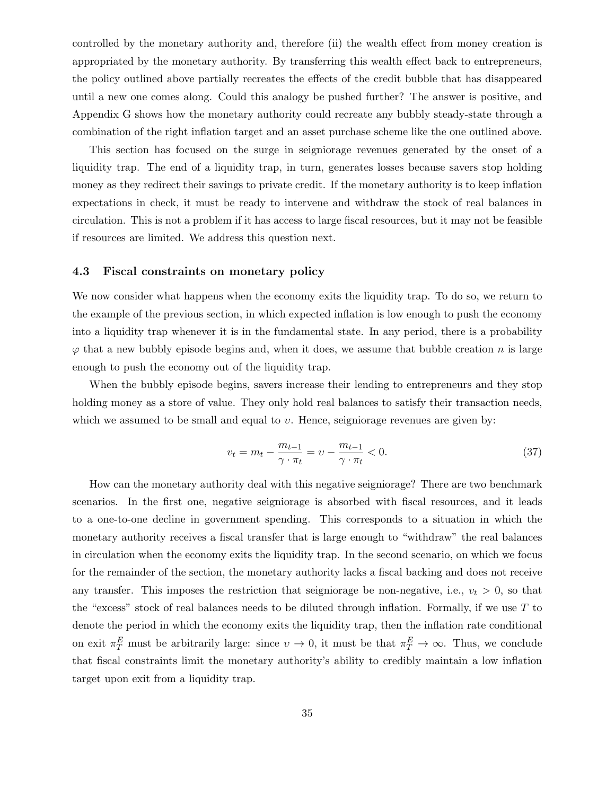controlled by the monetary authority and, therefore (ii) the wealth effect from money creation is appropriated by the monetary authority. By transferring this wealth effect back to entrepreneurs, the policy outlined above partially recreates the effects of the credit bubble that has disappeared until a new one comes along. Could this analogy be pushed further? The answer is positive, and Appendix G shows how the monetary authority could recreate any bubbly steady-state through a combination of the right inflation target and an asset purchase scheme like the one outlined above.

This section has focused on the surge in seigniorage revenues generated by the onset of a liquidity trap. The end of a liquidity trap, in turn, generates losses because savers stop holding money as they redirect their savings to private credit. If the monetary authority is to keep inflation expectations in check, it must be ready to intervene and withdraw the stock of real balances in circulation. This is not a problem if it has access to large fiscal resources, but it may not be feasible if resources are limited. We address this question next.

#### 4.3 Fiscal constraints on monetary policy

We now consider what happens when the economy exits the liquidity trap. To do so, we return to the example of the previous section, in which expected inflation is low enough to push the economy into a liquidity trap whenever it is in the fundamental state. In any period, there is a probability  $\varphi$  that a new bubbly episode begins and, when it does, we assume that bubble creation n is large enough to push the economy out of the liquidity trap.

When the bubbly episode begins, savers increase their lending to entrepreneurs and they stop holding money as a store of value. They only hold real balances to satisfy their transaction needs, which we assumed to be small and equal to  $v$ . Hence, seigniorage revenues are given by:

$$
v_t = m_t - \frac{m_{t-1}}{\gamma \cdot \pi_t} = v - \frac{m_{t-1}}{\gamma \cdot \pi_t} < 0. \tag{37}
$$

How can the monetary authority deal with this negative seigniorage? There are two benchmark scenarios. In the first one, negative seigniorage is absorbed with fiscal resources, and it leads to a one-to-one decline in government spending. This corresponds to a situation in which the monetary authority receives a fiscal transfer that is large enough to "withdraw" the real balances in circulation when the economy exits the liquidity trap. In the second scenario, on which we focus for the remainder of the section, the monetary authority lacks a fiscal backing and does not receive any transfer. This imposes the restriction that seigniorage be non-negative, i.e.,  $v_t > 0$ , so that the "excess" stock of real balances needs to be diluted through inflation. Formally, if we use  $T$  to denote the period in which the economy exits the liquidity trap, then the inflation rate conditional on exit  $\pi_T^E$  must be arbitrarily large: since  $v \to 0$ , it must be that  $\pi_T^E \to \infty$ . Thus, we conclude that fiscal constraints limit the monetary authority's ability to credibly maintain a low inflation target upon exit from a liquidity trap.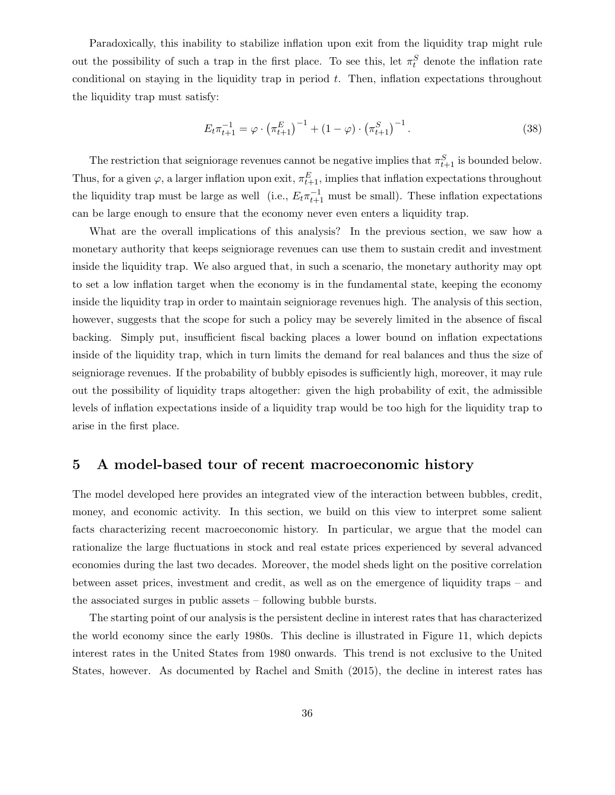Paradoxically, this inability to stabilize inflation upon exit from the liquidity trap might rule out the possibility of such a trap in the first place. To see this, let  $\pi_t^S$  denote the inflation rate conditional on staying in the liquidity trap in period  $t$ . Then, inflation expectations throughout the liquidity trap must satisfy:

$$
E_t \pi_{t+1}^{-1} = \varphi \cdot (\pi_{t+1}^E)^{-1} + (1 - \varphi) \cdot (\pi_{t+1}^S)^{-1}.
$$
 (38)

The restriction that seigniorage revenues cannot be negative implies that  $\pi_{t+1}^S$  is bounded below. Thus, for a given  $\varphi$ , a larger inflation upon exit,  $\pi_{t+1}^E$ , implies that inflation expectations throughout the liquidity trap must be large as well (i.e.,  $E_t \pi_{t+1}^{-1}$  must be small). These inflation expectations can be large enough to ensure that the economy never even enters a liquidity trap.

What are the overall implications of this analysis? In the previous section, we saw how a monetary authority that keeps seigniorage revenues can use them to sustain credit and investment inside the liquidity trap. We also argued that, in such a scenario, the monetary authority may opt to set a low inflation target when the economy is in the fundamental state, keeping the economy inside the liquidity trap in order to maintain seigniorage revenues high. The analysis of this section, however, suggests that the scope for such a policy may be severely limited in the absence of fiscal backing. Simply put, insufficient fiscal backing places a lower bound on inflation expectations inside of the liquidity trap, which in turn limits the demand for real balances and thus the size of seigniorage revenues. If the probability of bubbly episodes is sufficiently high, moreover, it may rule out the possibility of liquidity traps altogether: given the high probability of exit, the admissible levels of inflation expectations inside of a liquidity trap would be too high for the liquidity trap to arise in the first place.

### 5 A model-based tour of recent macroeconomic history

The model developed here provides an integrated view of the interaction between bubbles, credit, money, and economic activity. In this section, we build on this view to interpret some salient facts characterizing recent macroeconomic history. In particular, we argue that the model can rationalize the large fluctuations in stock and real estate prices experienced by several advanced economies during the last two decades. Moreover, the model sheds light on the positive correlation between asset prices, investment and credit, as well as on the emergence of liquidity traps – and the associated surges in public assets – following bubble bursts.

The starting point of our analysis is the persistent decline in interest rates that has characterized the world economy since the early 1980s. This decline is illustrated in Figure 11, which depicts interest rates in the United States from 1980 onwards. This trend is not exclusive to the United States, however. As documented by Rachel and Smith (2015), the decline in interest rates has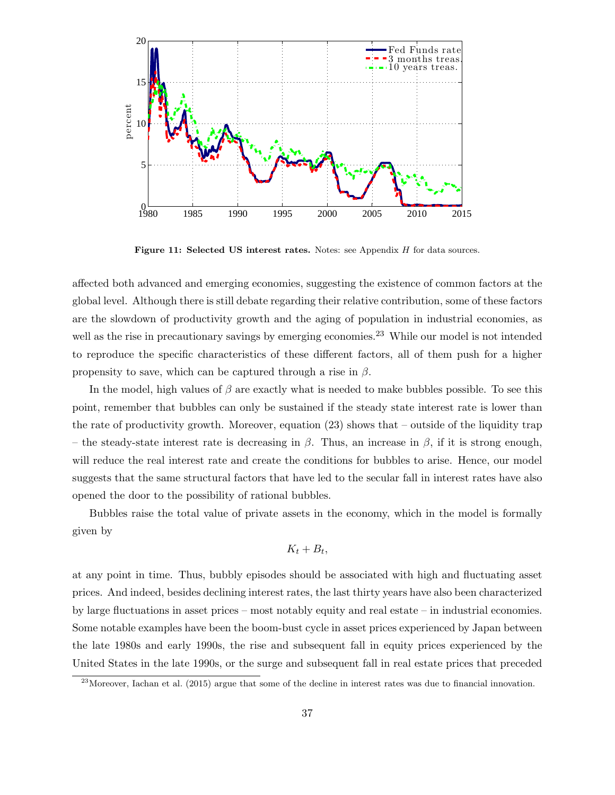

Figure 11: Selected US interest rates. Notes: see Appendix H for data sources.

affected both advanced and emerging economies, suggesting the existence of common factors at the global level. Although there is still debate regarding their relative contribution, some of these factors are the slowdown of productivity growth and the aging of population in industrial economies, as well as the rise in precautionary savings by emerging economies.<sup>23</sup> While our model is not intended to reproduce the specific characteristics of these different factors, all of them push for a higher propensity to save, which can be captured through a rise in  $\beta$ .

In the model, high values of  $\beta$  are exactly what is needed to make bubbles possible. To see this point, remember that bubbles can only be sustained if the steady state interest rate is lower than the rate of productivity growth. Moreover, equation (23) shows that – outside of the liquidity trap – the steady-state interest rate is decreasing in  $\beta$ . Thus, an increase in  $\beta$ , if it is strong enough, will reduce the real interest rate and create the conditions for bubbles to arise. Hence, our model suggests that the same structural factors that have led to the secular fall in interest rates have also opened the door to the possibility of rational bubbles.

Bubbles raise the total value of private assets in the economy, which in the model is formally given by

$$
K_t + B_t,
$$

at any point in time. Thus, bubbly episodes should be associated with high and fluctuating asset prices. And indeed, besides declining interest rates, the last thirty years have also been characterized by large fluctuations in asset prices – most notably equity and real estate – in industrial economies. Some notable examples have been the boom-bust cycle in asset prices experienced by Japan between the late 1980s and early 1990s, the rise and subsequent fall in equity prices experienced by the United States in the late 1990s, or the surge and subsequent fall in real estate prices that preceded

 $^{23}$ Moreover, Iachan et al. (2015) argue that some of the decline in interest rates was due to financial innovation.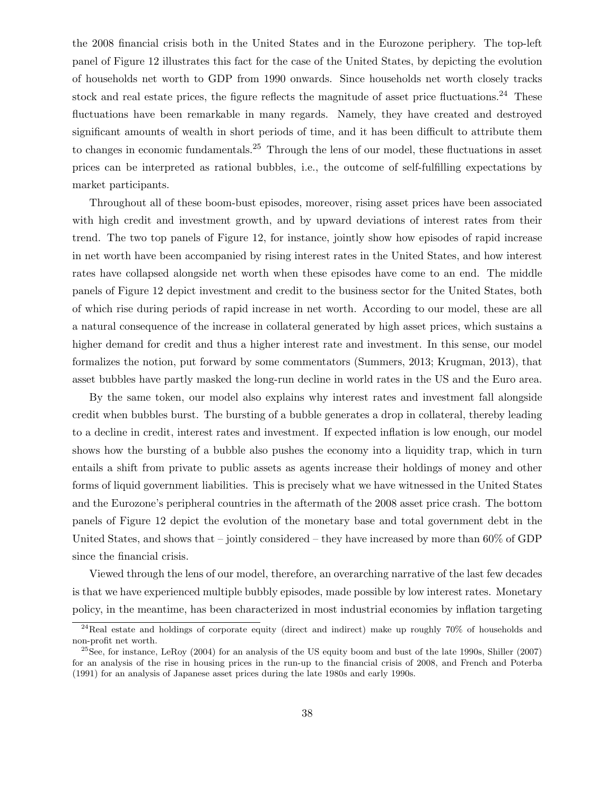the 2008 financial crisis both in the United States and in the Eurozone periphery. The top-left panel of Figure 12 illustrates this fact for the case of the United States, by depicting the evolution of households net worth to GDP from 1990 onwards. Since households net worth closely tracks stock and real estate prices, the figure reflects the magnitude of asset price fluctuations.<sup>24</sup> These fluctuations have been remarkable in many regards. Namely, they have created and destroyed significant amounts of wealth in short periods of time, and it has been difficult to attribute them to changes in economic fundamentals.<sup>25</sup> Through the lens of our model, these fluctuations in asset prices can be interpreted as rational bubbles, i.e., the outcome of self-fulfilling expectations by market participants.

Throughout all of these boom-bust episodes, moreover, rising asset prices have been associated with high credit and investment growth, and by upward deviations of interest rates from their trend. The two top panels of Figure 12, for instance, jointly show how episodes of rapid increase in net worth have been accompanied by rising interest rates in the United States, and how interest rates have collapsed alongside net worth when these episodes have come to an end. The middle panels of Figure 12 depict investment and credit to the business sector for the United States, both of which rise during periods of rapid increase in net worth. According to our model, these are all a natural consequence of the increase in collateral generated by high asset prices, which sustains a higher demand for credit and thus a higher interest rate and investment. In this sense, our model formalizes the notion, put forward by some commentators (Summers, 2013; Krugman, 2013), that asset bubbles have partly masked the long-run decline in world rates in the US and the Euro area.

By the same token, our model also explains why interest rates and investment fall alongside credit when bubbles burst. The bursting of a bubble generates a drop in collateral, thereby leading to a decline in credit, interest rates and investment. If expected inflation is low enough, our model shows how the bursting of a bubble also pushes the economy into a liquidity trap, which in turn entails a shift from private to public assets as agents increase their holdings of money and other forms of liquid government liabilities. This is precisely what we have witnessed in the United States and the Eurozone's peripheral countries in the aftermath of the 2008 asset price crash. The bottom panels of Figure 12 depict the evolution of the monetary base and total government debt in the United States, and shows that – jointly considered – they have increased by more than  $60\%$  of GDP since the financial crisis.

Viewed through the lens of our model, therefore, an overarching narrative of the last few decades is that we have experienced multiple bubbly episodes, made possible by low interest rates. Monetary policy, in the meantime, has been characterized in most industrial economies by inflation targeting

<sup>&</sup>lt;sup>24</sup>Real estate and holdings of corporate equity (direct and indirect) make up roughly 70% of households and non-profit net worth.

 $^{25}$ See, for instance, LeRoy (2004) for an analysis of the US equity boom and bust of the late 1990s, Shiller (2007) for an analysis of the rise in housing prices in the run-up to the financial crisis of 2008, and French and Poterba (1991) for an analysis of Japanese asset prices during the late 1980s and early 1990s.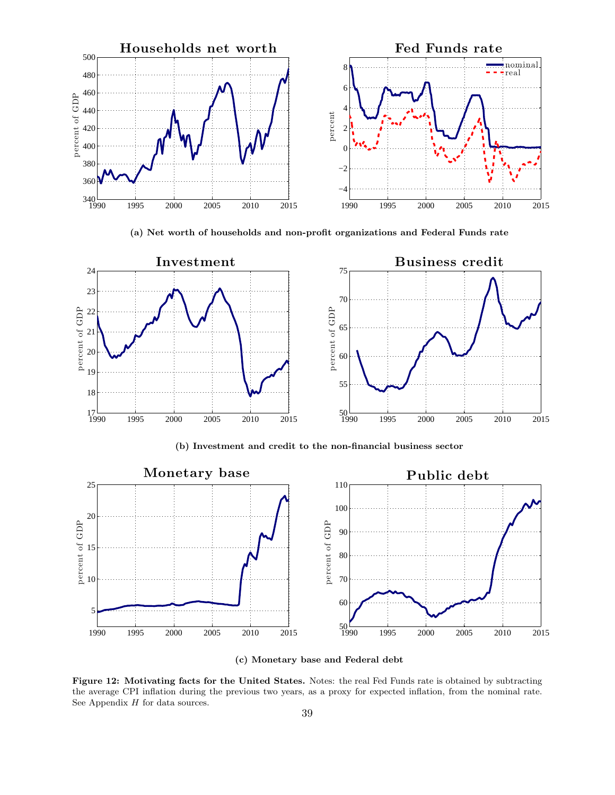

(a) Net worth of households and non-profit organizations and Federal Funds rate



(b) Investment and credit to the non-financial business sector



(c) Monetary base and Federal debt

Figure 12: Motivating facts for the United States. Notes: the real Fed Funds rate is obtained by subtracting the average CPI inflation during the previous two years, as a proxy for expected inflation, from the nominal rate. See Appendix  $H$  for data sources.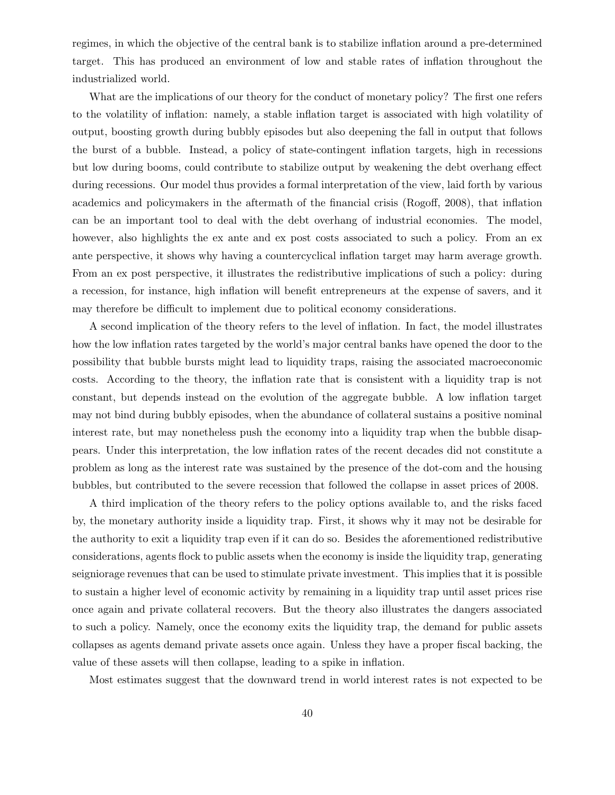regimes, in which the objective of the central bank is to stabilize inflation around a pre-determined target. This has produced an environment of low and stable rates of inflation throughout the industrialized world.

What are the implications of our theory for the conduct of monetary policy? The first one refers to the volatility of inflation: namely, a stable inflation target is associated with high volatility of output, boosting growth during bubbly episodes but also deepening the fall in output that follows the burst of a bubble. Instead, a policy of state-contingent inflation targets, high in recessions but low during booms, could contribute to stabilize output by weakening the debt overhang effect during recessions. Our model thus provides a formal interpretation of the view, laid forth by various academics and policymakers in the aftermath of the financial crisis (Rogoff, 2008), that inflation can be an important tool to deal with the debt overhang of industrial economies. The model, however, also highlights the ex ante and ex post costs associated to such a policy. From an ex ante perspective, it shows why having a countercyclical inflation target may harm average growth. From an ex post perspective, it illustrates the redistributive implications of such a policy: during a recession, for instance, high inflation will benefit entrepreneurs at the expense of savers, and it may therefore be difficult to implement due to political economy considerations.

A second implication of the theory refers to the level of inflation. In fact, the model illustrates how the low inflation rates targeted by the world's major central banks have opened the door to the possibility that bubble bursts might lead to liquidity traps, raising the associated macroeconomic costs. According to the theory, the inflation rate that is consistent with a liquidity trap is not constant, but depends instead on the evolution of the aggregate bubble. A low inflation target may not bind during bubbly episodes, when the abundance of collateral sustains a positive nominal interest rate, but may nonetheless push the economy into a liquidity trap when the bubble disappears. Under this interpretation, the low inflation rates of the recent decades did not constitute a problem as long as the interest rate was sustained by the presence of the dot-com and the housing bubbles, but contributed to the severe recession that followed the collapse in asset prices of 2008.

A third implication of the theory refers to the policy options available to, and the risks faced by, the monetary authority inside a liquidity trap. First, it shows why it may not be desirable for the authority to exit a liquidity trap even if it can do so. Besides the aforementioned redistributive considerations, agents flock to public assets when the economy is inside the liquidity trap, generating seigniorage revenues that can be used to stimulate private investment. This implies that it is possible to sustain a higher level of economic activity by remaining in a liquidity trap until asset prices rise once again and private collateral recovers. But the theory also illustrates the dangers associated to such a policy. Namely, once the economy exits the liquidity trap, the demand for public assets collapses as agents demand private assets once again. Unless they have a proper fiscal backing, the value of these assets will then collapse, leading to a spike in inflation.

Most estimates suggest that the downward trend in world interest rates is not expected to be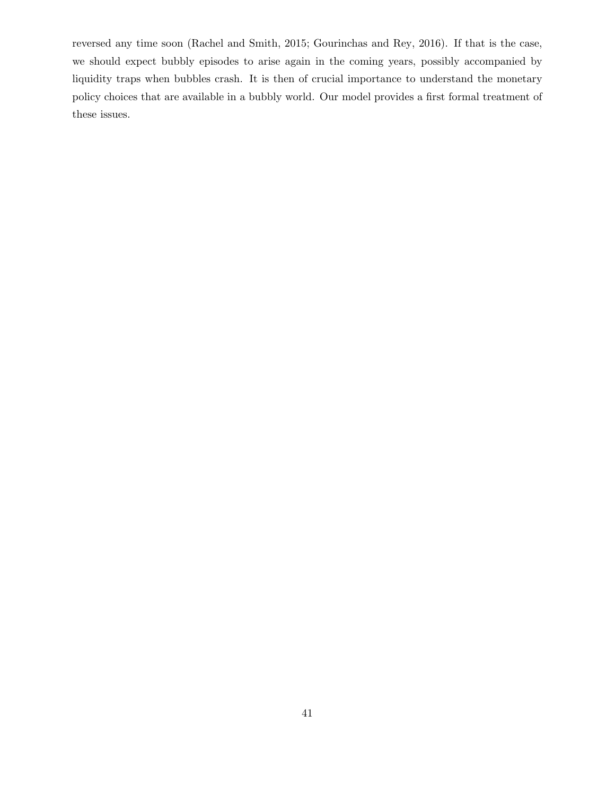reversed any time soon (Rachel and Smith, 2015; Gourinchas and Rey, 2016). If that is the case, we should expect bubbly episodes to arise again in the coming years, possibly accompanied by liquidity traps when bubbles crash. It is then of crucial importance to understand the monetary policy choices that are available in a bubbly world. Our model provides a first formal treatment of these issues.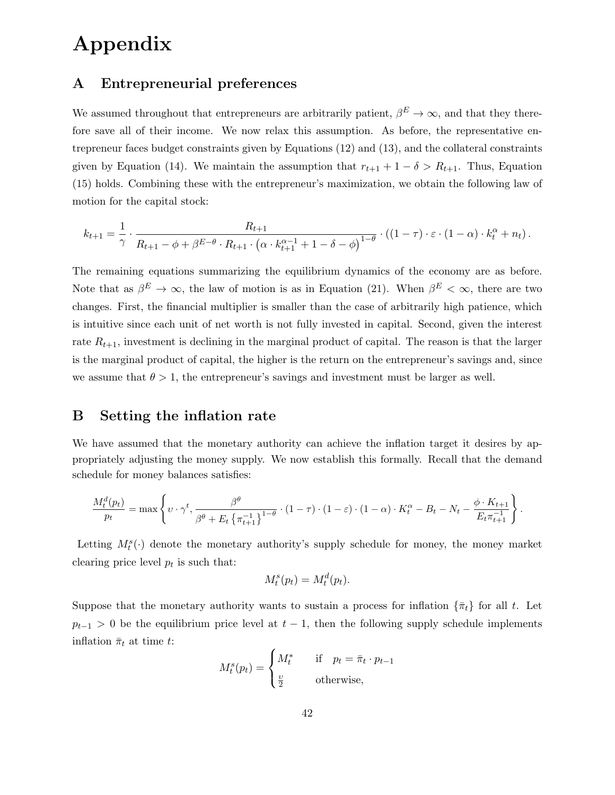# Appendix

### A Entrepreneurial preferences

We assumed throughout that entrepreneurs are arbitrarily patient,  $\beta^E \to \infty$ , and that they therefore save all of their income. We now relax this assumption. As before, the representative entrepreneur faces budget constraints given by Equations (12) and (13), and the collateral constraints given by Equation (14). We maintain the assumption that  $r_{t+1} + 1 - \delta > R_{t+1}$ . Thus, Equation (15) holds. Combining these with the entrepreneur's maximization, we obtain the following law of motion for the capital stock:

$$
k_{t+1} = \frac{1}{\gamma} \cdot \frac{R_{t+1}}{R_{t+1} - \phi + \beta^{E-\theta} \cdot R_{t+1} \cdot (\alpha \cdot k_{t+1}^{\alpha-1} + 1 - \delta - \phi)^{1-\theta}} \cdot ((1-\tau) \cdot \varepsilon \cdot (1-\alpha) \cdot k_t^{\alpha} + n_t).
$$

The remaining equations summarizing the equilibrium dynamics of the economy are as before. Note that as  $\beta^E \to \infty$ , the law of motion is as in Equation (21). When  $\beta^E < \infty$ , there are two changes. First, the financial multiplier is smaller than the case of arbitrarily high patience, which is intuitive since each unit of net worth is not fully invested in capital. Second, given the interest rate  $R_{t+1}$ , investment is declining in the marginal product of capital. The reason is that the larger is the marginal product of capital, the higher is the return on the entrepreneur's savings and, since we assume that  $\theta > 1$ , the entrepreneur's savings and investment must be larger as well.

# B Setting the inflation rate

We have assumed that the monetary authority can achieve the inflation target it desires by appropriately adjusting the money supply. We now establish this formally. Recall that the demand schedule for money balances satisfies:

$$
\frac{M_t^d(p_t)}{p_t} = \max \left\{ \upsilon \cdot \gamma^t, \frac{\beta^{\theta}}{\beta^{\theta} + E_t \left\{ \pi_{t+1}^{-1} \right\}^{1-\theta}} \cdot (1-\tau) \cdot (1-\varepsilon) \cdot (1-\alpha) \cdot K_t^{\alpha} - B_t - N_t - \frac{\phi \cdot K_{t+1}}{E_t \pi_{t+1}^{-1}} \right\}.
$$

Letting  $M_t^s(\cdot)$  denote the monetary authority's supply schedule for money, the money market clearing price level  $p_t$  is such that:

$$
M_t^s(p_t) = M_t^d(p_t).
$$

Suppose that the monetary authority wants to sustain a process for inflation  $\{\bar{\pi}_t\}$  for all t. Let  $p_{t-1} > 0$  be the equilibrium price level at  $t-1$ , then the following supply schedule implements inflation  $\bar{\pi}_t$  at time t:  $\overline{\phantom{a}}$ 

$$
M_t^s(p_t) = \begin{cases} M_t^* & \text{if } p_t = \bar{\pi}_t \cdot p_{t-1} \\ \frac{\upsilon}{2} & \text{otherwise,} \end{cases}
$$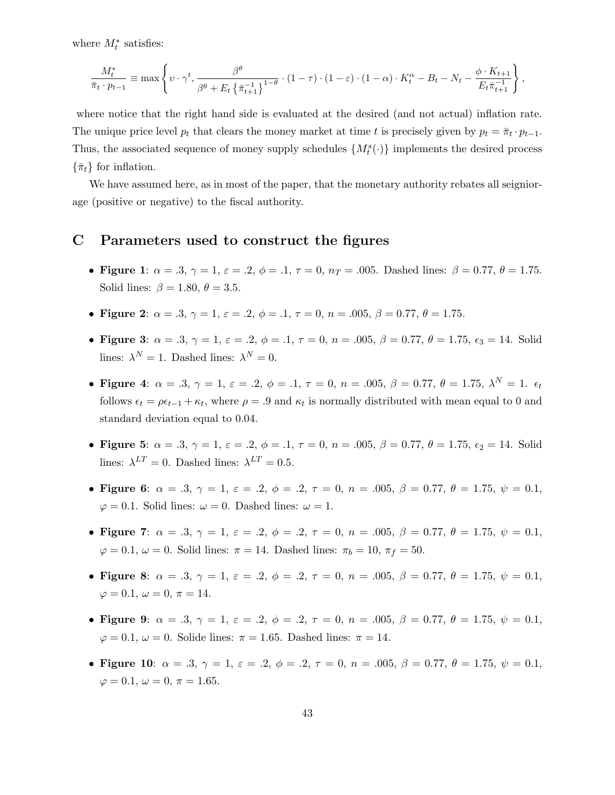where  $M_t^*$  satisfies:

$$
\frac{M_t^*}{\bar{\pi}_t \cdot p_{t-1}} \equiv \max \left\{ \upsilon \cdot \gamma^t, \frac{\beta^{\theta}}{\beta^{\theta} + E_t \left\{ \bar{\pi}_{t+1}^{-1} \right\}^{1-\theta}} \cdot (1-\tau) \cdot (1-\varepsilon) \cdot (1-\alpha) \cdot K_t^{\alpha} - B_t - N_t - \frac{\phi \cdot K_{t+1}}{E_t \bar{\pi}_{t+1}^{-1}} \right\},\,
$$

where notice that the right hand side is evaluated at the desired (and not actual) inflation rate. The unique price level  $p_t$  that clears the money market at time t is precisely given by  $p_t = \bar{\pi}_t \cdot p_{t-1}$ . Thus, the associated sequence of money supply schedules  $\{M_t^s(\cdot)\}\)$  implements the desired process  $\{\bar{\pi}_t\}$  for inflation.

We have assumed here, as in most of the paper, that the monetary authority rebates all seigniorage (positive or negative) to the fiscal authority.

### C Parameters used to construct the figures

- Figure 1:  $\alpha = .3$ ,  $\gamma = 1$ ,  $\varepsilon = .2$ ,  $\phi = .1$ ,  $\tau = 0$ ,  $n_T = .005$ . Dashed lines:  $\beta = 0.77$ ,  $\theta = 1.75$ . Solid lines:  $\beta = 1.80, \theta = 3.5$ .
- Figure 2:  $\alpha = .3$ ,  $\gamma = 1$ ,  $\varepsilon = .2$ ,  $\phi = .1$ ,  $\tau = 0$ ,  $n = .005$ ,  $\beta = 0.77$ ,  $\theta = 1.75$ .
- Figure 3:  $\alpha = .3$ ,  $\gamma = 1$ ,  $\varepsilon = .2$ ,  $\phi = .1$ ,  $\tau = 0$ ,  $n = .005$ ,  $\beta = 0.77$ ,  $\theta = 1.75$ ,  $\epsilon_3 = 14$ . Solid lines:  $\lambda^N = 1$ . Dashed lines:  $\lambda^N = 0$ .
- Figure 4:  $\alpha = .3, \gamma = 1, \varepsilon = .2, \phi = .1, \tau = 0, n = .005, \beta = 0.77, \theta = 1.75, \lambda^N = 1.$ follows  $\epsilon_t = \rho \epsilon_{t-1} + \kappa_t$ , where  $\rho = .9$  and  $\kappa_t$  is normally distributed with mean equal to 0 and standard deviation equal to 0.04.
- Figure 5:  $\alpha = .3, \gamma = 1, \varepsilon = .2, \phi = .1, \tau = 0, n = .005, \beta = 0.77, \theta = 1.75, \varepsilon_2 = 14$ . Solid lines:  $\lambda^{LT} = 0$ . Dashed lines:  $\lambda^{LT} = 0.5$ .
- Figure 6:  $\alpha = .3$ ,  $\gamma = 1$ ,  $\varepsilon = .2$ ,  $\phi = .2$ ,  $\tau = 0$ ,  $n = .005$ ,  $\beta = 0.77$ ,  $\theta = 1.75$ ,  $\psi = 0.1$ ,  $\varphi = 0.1$ . Solid lines:  $\omega = 0$ . Dashed lines:  $\omega = 1$ .
- Figure 7:  $\alpha = .3$ ,  $\gamma = 1$ ,  $\varepsilon = .2$ ,  $\phi = .2$ ,  $\tau = 0$ ,  $n = .005$ ,  $\beta = 0.77$ ,  $\theta = 1.75$ ,  $\psi = 0.1$ ,  $\varphi = 0.1, \omega = 0$ . Solid lines:  $\pi = 14$ . Dashed lines:  $\pi_b = 10, \pi_f = 50$ .
- Figure 8:  $\alpha = .3$ ,  $\gamma = 1$ ,  $\varepsilon = .2$ ,  $\phi = .2$ ,  $\tau = 0$ ,  $n = .005$ ,  $\beta = 0.77$ ,  $\theta = 1.75$ ,  $\psi = 0.1$ ,  $\varphi = 0.1, \omega = 0, \pi = 14.$
- Figure 9:  $\alpha = .3$ ,  $\gamma = 1$ ,  $\varepsilon = .2$ ,  $\phi = .2$ ,  $\tau = 0$ ,  $n = .005$ ,  $\beta = 0.77$ ,  $\theta = 1.75$ ,  $\psi = 0.1$ ,  $\varphi = 0.1, \omega = 0$ . Solide lines:  $\pi = 1.65$ . Dashed lines:  $\pi = 14$ .
- Figure 10:  $\alpha = .3$ ,  $\gamma = 1$ ,  $\varepsilon = .2$ ,  $\phi = .2$ ,  $\tau = 0$ ,  $n = .005$ ,  $\beta = 0.77$ ,  $\theta = 1.75$ ,  $\psi = 0.1$ ,  $\varphi = 0.1, \omega = 0, \pi = 1.65.$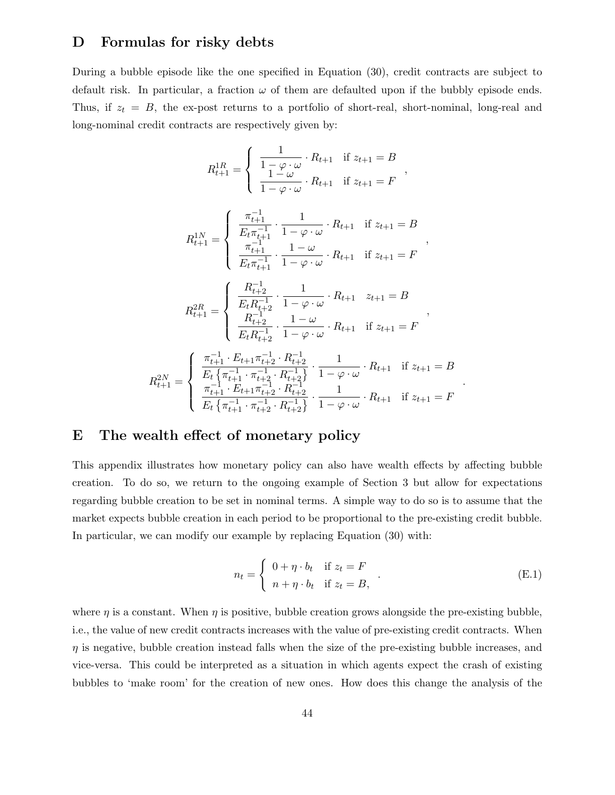### D Formulas for risky debts

During a bubble episode like the one specified in Equation (30), credit contracts are subject to default risk. In particular, a fraction  $\omega$  of them are defaulted upon if the bubbly episode ends. Thus, if  $z_t = B$ , the ex-post returns to a portfolio of short-real, short-nominal, long-real and long-nominal credit contracts are respectively given by:

$$
R_{t+1}^{1R} = \begin{cases} \frac{1}{1 - \varphi \cdot \omega} \cdot R_{t+1} & \text{if } z_{t+1} = B \\ \frac{1 - \omega}{1 - \varphi \cdot \omega} \cdot R_{t+1} & \text{if } z_{t+1} = F \end{cases}
$$

$$
R_{t+1}^{1N} = \begin{cases} \frac{\pi_{t+1}^{-1}}{E_t \pi_{t+1}^{-1}} \cdot \frac{1}{1 - \varphi \cdot \omega} \cdot R_{t+1} & \text{if } z_{t+1} = B \\ \frac{\pi_{t+1}^{-1}}{E_t \pi_{t+1}^{-1}} \cdot \frac{1 - \omega}{1 - \varphi \cdot \omega} \cdot R_{t+1} & \text{if } z_{t+1} = F \end{cases},
$$
\n
$$
\left\{ \begin{array}{c} R_{t+2}^{-1} & \text{if } R_{t+2}^{-1} = \varphi \end{array} \right\}
$$

$$
R_{t+1}^{2R} = \begin{cases} \frac{R_{t+2}}{E_t R_{t+2}} \cdot \frac{1}{1 - \varphi \cdot \omega} \cdot R_{t+1} & z_{t+1} = B \\ \frac{R_{t+2}^{-1}}{E_t R_{t+2}^{-1}} \cdot \frac{1 - \omega}{1 - \varphi \cdot \omega} \cdot R_{t+1} & \text{if } z_{t+1} = F \end{cases},
$$

$$
R_{t+1}^{2N} = \begin{cases} \frac{\pi_{t+1}^{-1} \cdot E_{t+1} \pi_{t+2}^{-1} \cdot R_{t+2}^{-1}}{E_t \left\{ \pi_{t+1}^{-1} \cdot \pi_{t+2}^{-1} \cdot R_{t+2}^{-1} \right\}} \cdot \frac{1}{1 - \varphi \cdot \omega} \cdot R_{t+1} & \text{if } z_{t+1} = B \\ \frac{\pi_{t+1}^{-1} \cdot E_{t+1} \pi_{t+2}^{-1} \cdot R_{t+2}^{-1}}{E_t \left\{ \pi_{t+1}^{-1} \cdot \pi_{t+2}^{-1} \cdot R_{t+2}^{-1} \right\}} \cdot \frac{1}{1 - \varphi \cdot \omega} \cdot R_{t+1} & \text{if } z_{t+1} = F \end{cases}
$$

### E The wealth effect of monetary policy

This appendix illustrates how monetary policy can also have wealth effects by affecting bubble creation. To do so, we return to the ongoing example of Section 3 but allow for expectations regarding bubble creation to be set in nominal terms. A simple way to do so is to assume that the market expects bubble creation in each period to be proportional to the pre-existing credit bubble. In particular, we can modify our example by replacing Equation (30) with:

$$
n_{t} = \begin{cases} 0 + \eta \cdot b_{t} & \text{if } z_{t} = F \\ n + \eta \cdot b_{t} & \text{if } z_{t} = B, \end{cases} . \tag{E.1}
$$

.

where  $\eta$  is a constant. When  $\eta$  is positive, bubble creation grows alongside the pre-existing bubble, i.e., the value of new credit contracts increases with the value of pre-existing credit contracts. When  $\eta$  is negative, bubble creation instead falls when the size of the pre-existing bubble increases, and vice-versa. This could be interpreted as a situation in which agents expect the crash of existing bubbles to 'make room' for the creation of new ones. How does this change the analysis of the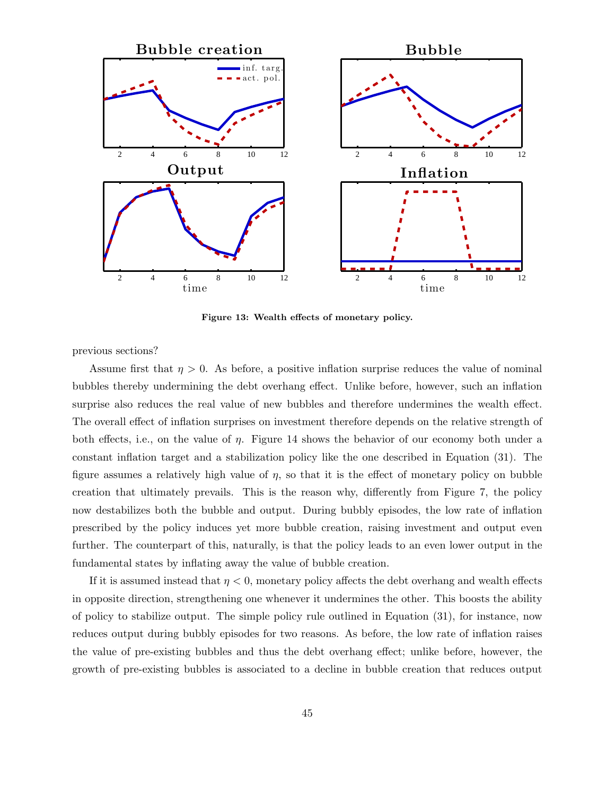

Figure 13: Wealth effects of monetary policy.

previous sections?

Assume first that  $\eta > 0$ . As before, a positive inflation surprise reduces the value of nominal bubbles thereby undermining the debt overhang effect. Unlike before, however, such an inflation surprise also reduces the real value of new bubbles and therefore undermines the wealth effect. The overall effect of inflation surprises on investment therefore depends on the relative strength of both effects, i.e., on the value of η. Figure 14 shows the behavior of our economy both under a constant inflation target and a stabilization policy like the one described in Equation (31). The figure assumes a relatively high value of  $\eta$ , so that it is the effect of monetary policy on bubble creation that ultimately prevails. This is the reason why, differently from Figure 7, the policy now destabilizes both the bubble and output. During bubbly episodes, the low rate of inflation prescribed by the policy induces yet more bubble creation, raising investment and output even further. The counterpart of this, naturally, is that the policy leads to an even lower output in the fundamental states by inflating away the value of bubble creation.

If it is assumed instead that  $\eta < 0$ , monetary policy affects the debt overhang and wealth effects in opposite direction, strengthening one whenever it undermines the other. This boosts the ability of policy to stabilize output. The simple policy rule outlined in Equation (31), for instance, now reduces output during bubbly episodes for two reasons. As before, the low rate of inflation raises the value of pre-existing bubbles and thus the debt overhang effect; unlike before, however, the growth of pre-existing bubbles is associated to a decline in bubble creation that reduces output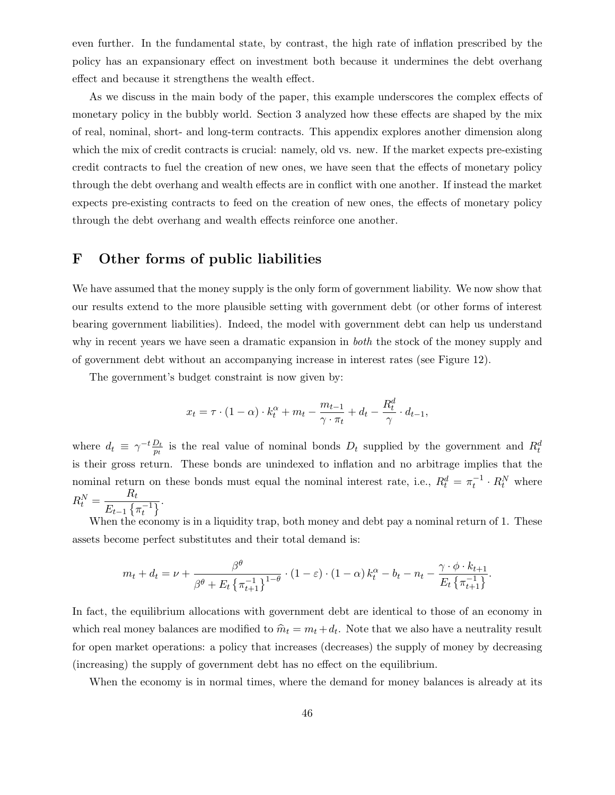even further. In the fundamental state, by contrast, the high rate of inflation prescribed by the policy has an expansionary effect on investment both because it undermines the debt overhang effect and because it strengthens the wealth effect.

As we discuss in the main body of the paper, this example underscores the complex effects of monetary policy in the bubbly world. Section 3 analyzed how these effects are shaped by the mix of real, nominal, short- and long-term contracts. This appendix explores another dimension along which the mix of credit contracts is crucial: namely, old vs. new. If the market expects pre-existing credit contracts to fuel the creation of new ones, we have seen that the effects of monetary policy through the debt overhang and wealth effects are in conflict with one another. If instead the market expects pre-existing contracts to feed on the creation of new ones, the effects of monetary policy through the debt overhang and wealth effects reinforce one another.

### F Other forms of public liabilities

We have assumed that the money supply is the only form of government liability. We now show that our results extend to the more plausible setting with government debt (or other forms of interest bearing government liabilities). Indeed, the model with government debt can help us understand why in recent years we have seen a dramatic expansion in *both* the stock of the money supply and of government debt without an accompanying increase in interest rates (see Figure 12).

The government's budget constraint is now given by:

$$
x_t = \tau \cdot (1 - \alpha) \cdot k_t^{\alpha} + m_t - \frac{m_{t-1}}{\gamma \cdot \pi_t} + d_t - \frac{R_t^d}{\gamma} \cdot d_{t-1},
$$

where  $d_t \equiv \gamma^{-t} \frac{D_t}{p_t}$  $\frac{D_t}{p_t}$  is the real value of nominal bonds  $D_t$  supplied by the government and  $R_t^d$ is their gross return. These bonds are unindexed to inflation and no arbitrage implies that the nominal return on these bonds must equal the nominal interest rate, i.e.,  $R_t^d = \pi_t^{-1} \cdot R_t^N$  where  $R_t^N = \frac{R_t}{E - 1}$  $\frac{1}{E_{t-1} \{\pi_t^{-1}\}}$ .

When the economy is in a liquidity trap, both money and debt pay a nominal return of 1. These assets become perfect substitutes and their total demand is:

$$
m_t + d_t = \nu + \frac{\beta^{\theta}}{\beta^{\theta} + E_t \left\{ \pi_{t+1}^{-1} \right\}^{1-\theta}} \cdot (1-\varepsilon) \cdot (1-\alpha) k_t^{\alpha} - b_t - n_t - \frac{\gamma \cdot \phi \cdot k_{t+1}}{E_t \left\{ \pi_{t+1}^{-1} \right\}}.
$$

In fact, the equilibrium allocations with government debt are identical to those of an economy in which real money balances are modified to  $\hat{m}_t = m_t + d_t$ . Note that we also have a neutrality result for open market operations: a policy that increases (decreases) the supply of money by decreasing (increasing) the supply of government debt has no effect on the equilibrium.

When the economy is in normal times, where the demand for money balances is already at its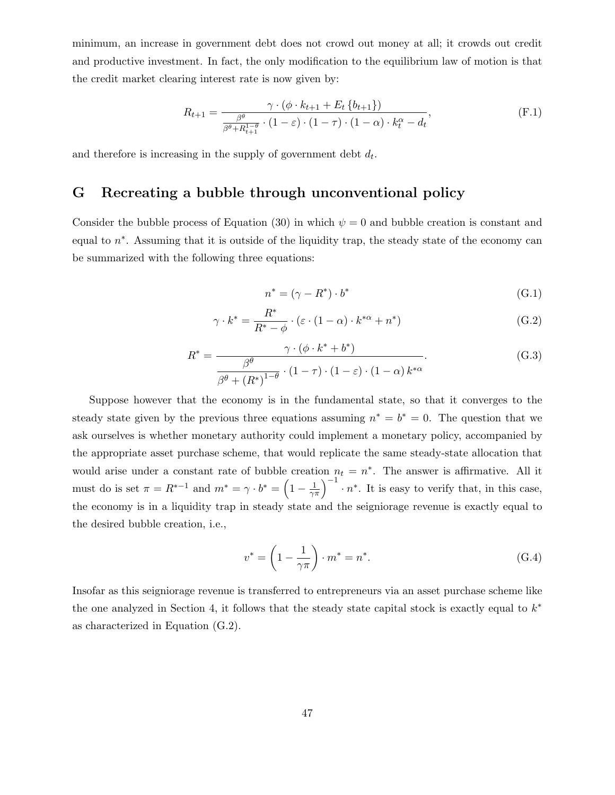minimum, an increase in government debt does not crowd out money at all; it crowds out credit and productive investment. In fact, the only modification to the equilibrium law of motion is that the credit market clearing interest rate is now given by:

$$
R_{t+1} = \frac{\gamma \cdot (\phi \cdot k_{t+1} + E_t \{b_{t+1}\})}{\frac{\beta^{\theta}}{\beta^{\theta} + R_{t+1}^{1-\theta}} \cdot (1-\varepsilon) \cdot (1-\tau) \cdot (1-\alpha) \cdot k_t^{\alpha} - d_t},
$$
(F.1)

and therefore is increasing in the supply of government debt  $d_t$ .

### G Recreating a bubble through unconventional policy

Consider the bubble process of Equation (30) in which  $\psi = 0$  and bubble creation is constant and equal to  $n^*$ . Assuming that it is outside of the liquidity trap, the steady state of the economy can be summarized with the following three equations:

$$
n^* = (\gamma - R^*) \cdot b^* \tag{G.1}
$$

$$
\gamma \cdot k^* = \frac{R^*}{R^* - \phi} \cdot (\varepsilon \cdot (1 - \alpha) \cdot k^{*\alpha} + n^*)
$$
 (G.2)

$$
R^* = \frac{\gamma \cdot (\phi \cdot k^* + b^*)}{\frac{\beta^{\theta}}{\beta^{\theta} + (R^*)^{1-\theta}} \cdot (1-\tau) \cdot (1-\varepsilon) \cdot (1-\alpha) k^{*\alpha}}.
$$
 (G.3)

Suppose however that the economy is in the fundamental state, so that it converges to the steady state given by the previous three equations assuming  $n^* = b^* = 0$ . The question that we ask ourselves is whether monetary authority could implement a monetary policy, accompanied by the appropriate asset purchase scheme, that would replicate the same steady-state allocation that would arise under a constant rate of bubble creation  $n_t = n^*$ . The answer is affirmative. All it must do is set  $\pi = R^{*-1}$  and  $m^* = \gamma \cdot b^* = \left(1 - \frac{1}{\gamma \pi}\right)^{-1} \cdot n^*$ . It is easy to verify that, in this case, the economy is in a liquidity trap in steady state and the seigniorage revenue is exactly equal to the desired bubble creation, i.e.,

$$
v^* = \left(1 - \frac{1}{\gamma \pi}\right) \cdot m^* = n^*.
$$
\n(G.4)

Insofar as this seigniorage revenue is transferred to entrepreneurs via an asset purchase scheme like the one analyzed in Section 4, it follows that the steady state capital stock is exactly equal to  $k^*$ as characterized in Equation (G.2).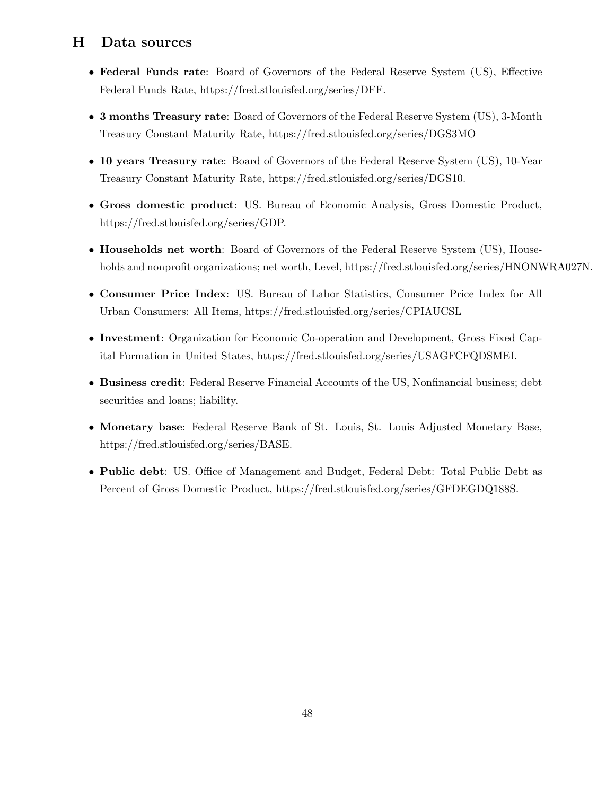# H Data sources

- Federal Funds rate: Board of Governors of the Federal Reserve System (US), Effective Federal Funds Rate, https://fred.stlouisfed.org/series/DFF.
- 3 months Treasury rate: Board of Governors of the Federal Reserve System (US), 3-Month Treasury Constant Maturity Rate, https://fred.stlouisfed.org/series/DGS3MO
- 10 years Treasury rate: Board of Governors of the Federal Reserve System (US), 10-Year Treasury Constant Maturity Rate, https://fred.stlouisfed.org/series/DGS10.
- Gross domestic product: US. Bureau of Economic Analysis, Gross Domestic Product, https://fred.stlouisfed.org/series/GDP.
- Households net worth: Board of Governors of the Federal Reserve System (US), Households and nonprofit organizations; net worth, Level, https://fred.stlouisfed.org/series/HNONWRA027N.
- Consumer Price Index: US. Bureau of Labor Statistics, Consumer Price Index for All Urban Consumers: All Items, https://fred.stlouisfed.org/series/CPIAUCSL
- Investment: Organization for Economic Co-operation and Development, Gross Fixed Capital Formation in United States, https://fred.stlouisfed.org/series/USAGFCFQDSMEI.
- Business credit: Federal Reserve Financial Accounts of the US, Nonfinancial business; debt securities and loans; liability.
- Monetary base: Federal Reserve Bank of St. Louis, St. Louis Adjusted Monetary Base, https://fred.stlouisfed.org/series/BASE.
- Public debt: US. Office of Management and Budget, Federal Debt: Total Public Debt as Percent of Gross Domestic Product, https://fred.stlouisfed.org/series/GFDEGDQ188S.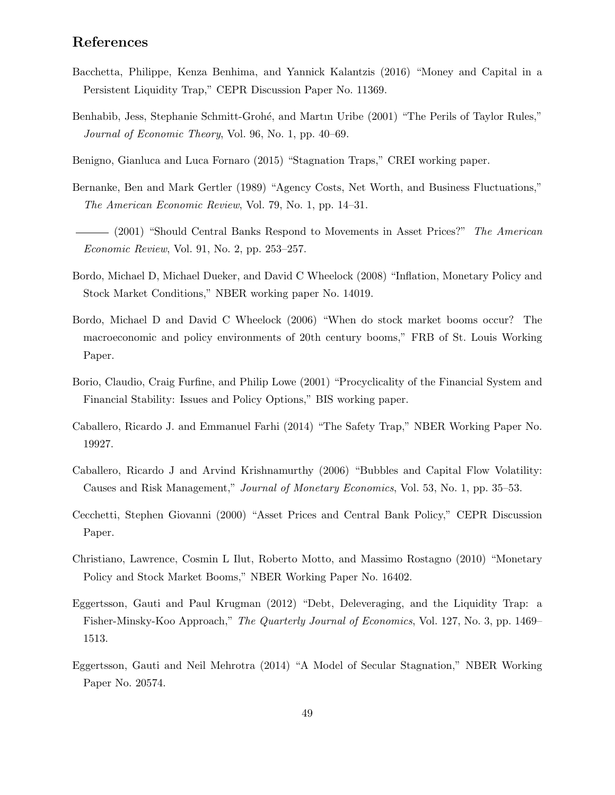# References

- Bacchetta, Philippe, Kenza Benhima, and Yannick Kalantzis (2016) "Money and Capital in a Persistent Liquidity Trap," CEPR Discussion Paper No. 11369.
- Benhabib, Jess, Stephanie Schmitt-Grohé, and Martin Uribe (2001) "The Perils of Taylor Rules," Journal of Economic Theory, Vol. 96, No. 1, pp. 40–69.
- Benigno, Gianluca and Luca Fornaro (2015) "Stagnation Traps," CREI working paper.
- Bernanke, Ben and Mark Gertler (1989) "Agency Costs, Net Worth, and Business Fluctuations," The American Economic Review, Vol. 79, No. 1, pp. 14–31.
- (2001) "Should Central Banks Respond to Movements in Asset Prices?" The American Economic Review, Vol. 91, No. 2, pp. 253–257.
- Bordo, Michael D, Michael Dueker, and David C Wheelock (2008) "Inflation, Monetary Policy and Stock Market Conditions," NBER working paper No. 14019.
- Bordo, Michael D and David C Wheelock (2006) "When do stock market booms occur? The macroeconomic and policy environments of 20th century booms," FRB of St. Louis Working Paper.
- Borio, Claudio, Craig Furfine, and Philip Lowe (2001) "Procyclicality of the Financial System and Financial Stability: Issues and Policy Options," BIS working paper.
- Caballero, Ricardo J. and Emmanuel Farhi (2014) "The Safety Trap," NBER Working Paper No. 19927.
- Caballero, Ricardo J and Arvind Krishnamurthy (2006) "Bubbles and Capital Flow Volatility: Causes and Risk Management," Journal of Monetary Economics, Vol. 53, No. 1, pp. 35–53.
- Cecchetti, Stephen Giovanni (2000) "Asset Prices and Central Bank Policy," CEPR Discussion Paper.
- Christiano, Lawrence, Cosmin L Ilut, Roberto Motto, and Massimo Rostagno (2010) "Monetary Policy and Stock Market Booms," NBER Working Paper No. 16402.
- Eggertsson, Gauti and Paul Krugman (2012) "Debt, Deleveraging, and the Liquidity Trap: a Fisher-Minsky-Koo Approach," The Quarterly Journal of Economics, Vol. 127, No. 3, pp. 1469– 1513.
- Eggertsson, Gauti and Neil Mehrotra (2014) "A Model of Secular Stagnation," NBER Working Paper No. 20574.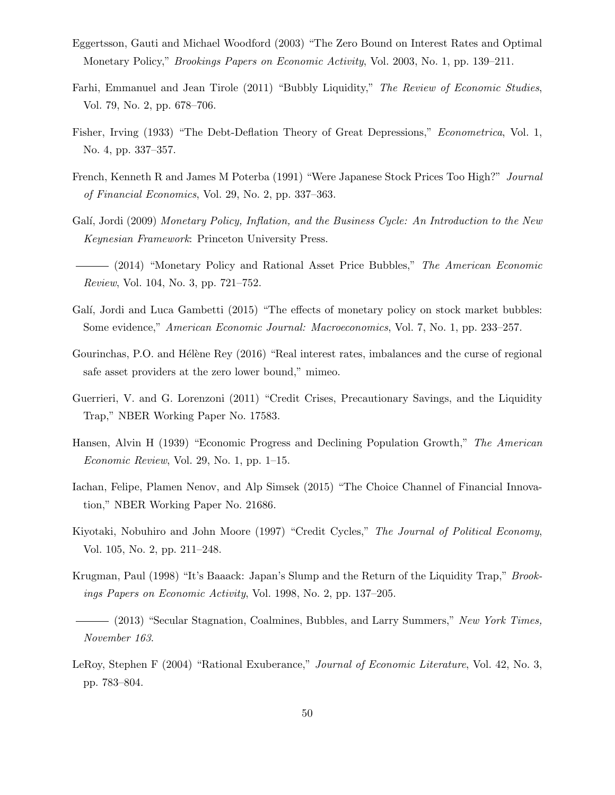- Eggertsson, Gauti and Michael Woodford (2003) "The Zero Bound on Interest Rates and Optimal Monetary Policy," Brookings Papers on Economic Activity, Vol. 2003, No. 1, pp. 139–211.
- Farhi, Emmanuel and Jean Tirole (2011) "Bubbly Liquidity," The Review of Economic Studies, Vol. 79, No. 2, pp. 678–706.
- Fisher, Irving (1933) "The Debt-Deflation Theory of Great Depressions," Econometrica, Vol. 1, No. 4, pp. 337–357.
- French, Kenneth R and James M Poterba (1991) "Were Japanese Stock Prices Too High?" Journal of Financial Economics, Vol. 29, No. 2, pp. 337–363.
- Galí, Jordi (2009) Monetary Policy, Inflation, and the Business Cycle: An Introduction to the New Keynesian Framework: Princeton University Press.
- (2014) "Monetary Policy and Rational Asset Price Bubbles," The American Economic Review, Vol. 104, No. 3, pp. 721–752.
- Galí, Jordi and Luca Gambetti (2015) "The effects of monetary policy on stock market bubbles: Some evidence," American Economic Journal: Macroeconomics, Vol. 7, No. 1, pp. 233–257.
- Gourinchas, P.O. and Hélène Rey (2016) "Real interest rates, imbalances and the curse of regional safe asset providers at the zero lower bound," mimeo.
- Guerrieri, V. and G. Lorenzoni (2011) "Credit Crises, Precautionary Savings, and the Liquidity Trap," NBER Working Paper No. 17583.
- Hansen, Alvin H (1939) "Economic Progress and Declining Population Growth," The American Economic Review, Vol. 29, No. 1, pp.  $1-15$ .
- Iachan, Felipe, Plamen Nenov, and Alp Simsek (2015) "The Choice Channel of Financial Innovation," NBER Working Paper No. 21686.
- Kiyotaki, Nobuhiro and John Moore (1997) "Credit Cycles," The Journal of Political Economy, Vol. 105, No. 2, pp. 211–248.
- Krugman, Paul (1998) "It's Baaack: Japan's Slump and the Return of the Liquidity Trap," Brookings Papers on Economic Activity, Vol. 1998, No. 2, pp. 137–205.
- $-$  (2013) "Secular Stagnation, Coalmines, Bubbles, and Larry Summers," New York Times, November 163.
- LeRoy, Stephen F (2004) "Rational Exuberance," *Journal of Economic Literature*, Vol. 42, No. 3, pp. 783–804.